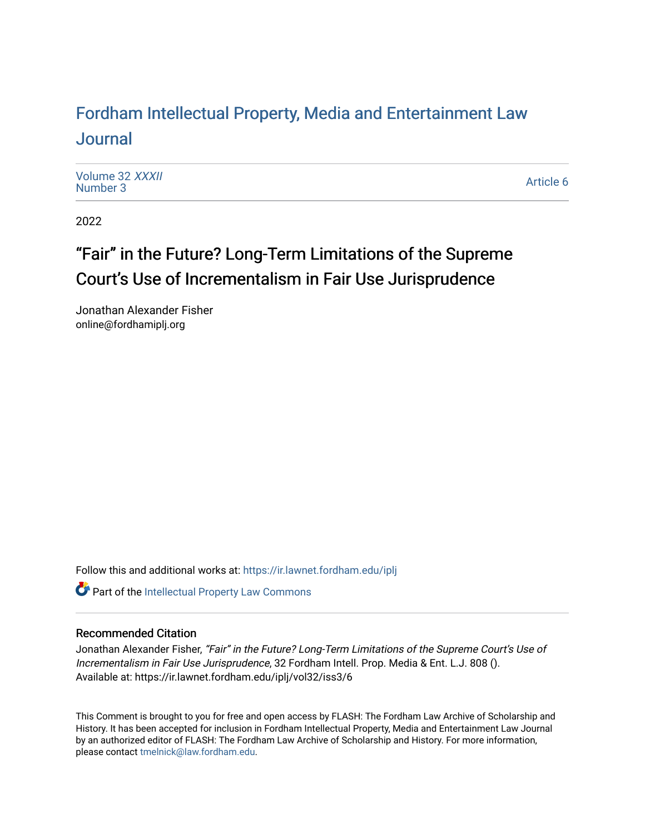## For[dham Intellectual Property, Media and Enter](https://ir.lawnet.fordham.edu/iplj)tainment Law [Journal](https://ir.lawnet.fordham.edu/iplj)

[Volume 32](https://ir.lawnet.fordham.edu/iplj/vol32) XXXII<br>Number 3 [Number 3](https://ir.lawnet.fordham.edu/iplj/vol32/iss3)2 AAAh<br>Number 3 Article 6

2022

# "Fair" in the Future? Long-Term Limitations of the Supreme Court's Use of Incrementalism in Fair Use Jurisprudence

Jonathan Alexander Fisher online@fordhamiplj.org

Follow this and additional works at: [https://ir.lawnet.fordham.edu/iplj](https://ir.lawnet.fordham.edu/iplj?utm_source=ir.lawnet.fordham.edu%2Fiplj%2Fvol32%2Fiss3%2F6&utm_medium=PDF&utm_campaign=PDFCoverPages) 

Part of the [Intellectual Property Law Commons](http://network.bepress.com/hgg/discipline/896?utm_source=ir.lawnet.fordham.edu%2Fiplj%2Fvol32%2Fiss3%2F6&utm_medium=PDF&utm_campaign=PDFCoverPages) 

## Recommended Citation

Jonathan Alexander Fisher, "Fair" in the Future? Long-Term Limitations of the Supreme Court's Use of Incrementalism in Fair Use Jurisprudence, 32 Fordham Intell. Prop. Media & Ent. L.J. 808 (). Available at: https://ir.lawnet.fordham.edu/iplj/vol32/iss3/6

This Comment is brought to you for free and open access by FLASH: The Fordham Law Archive of Scholarship and History. It has been accepted for inclusion in Fordham Intellectual Property, Media and Entertainment Law Journal by an authorized editor of FLASH: The Fordham Law Archive of Scholarship and History. For more information, please contact [tmelnick@law.fordham.edu](mailto:tmelnick@law.fordham.edu).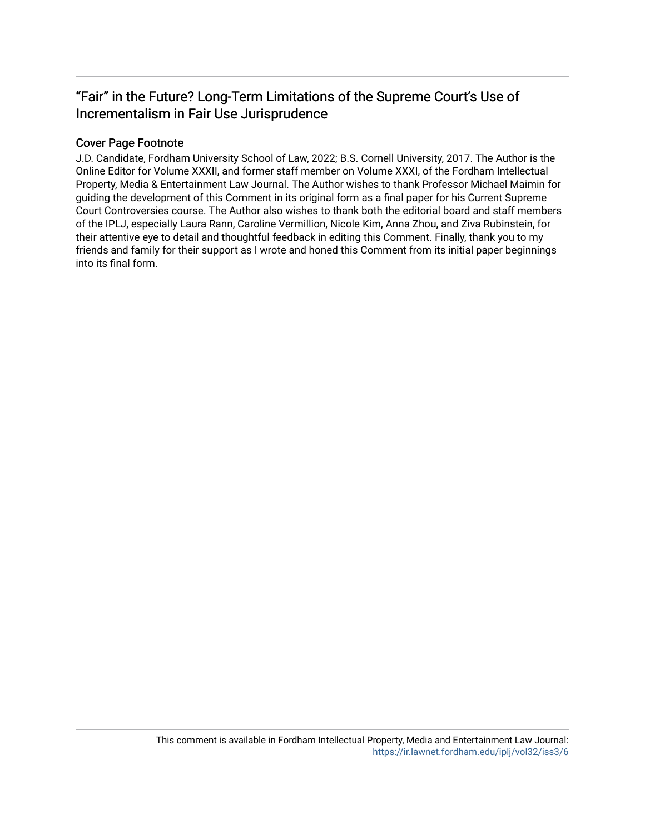## "Fair" in the Future? Long-Term Limitations of the Supreme Court's Use of Incrementalism in Fair Use Jurisprudence

## Cover Page Footnote

J.D. Candidate, Fordham University School of Law, 2022; B.S. Cornell University, 2017. The Author is the Online Editor for Volume XXXII, and former staff member on Volume XXXI, of the Fordham Intellectual Property, Media & Entertainment Law Journal. The Author wishes to thank Professor Michael Maimin for guiding the development of this Comment in its original form as a final paper for his Current Supreme Court Controversies course. The Author also wishes to thank both the editorial board and staff members of the IPLJ, especially Laura Rann, Caroline Vermillion, Nicole Kim, Anna Zhou, and Ziva Rubinstein, for their attentive eye to detail and thoughtful feedback in editing this Comment. Finally, thank you to my friends and family for their support as I wrote and honed this Comment from its initial paper beginnings into its final form.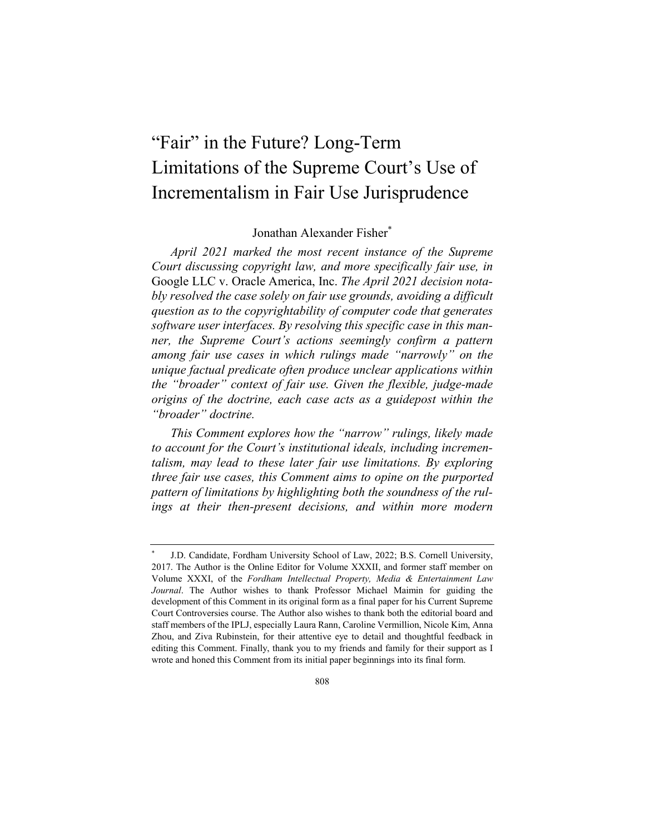# "Fair" in the Future? Long-Term Limitations of the Supreme Court's Use of Incrementalism in Fair Use Jurisprudence

## Jonathan Alexander Fisher\*

*April 2021 marked the most recent instance of the Supreme Court discussing copyright law, and more specifically fair use, in*  Google LLC v. Oracle America, Inc. *The April 2021 decision notably resolved the case solely on fair use grounds, avoiding a difficult question as to the copyrightability of computer code that generates software user interfaces. By resolving this specific case in this manner, the Supreme Court's actions seemingly confirm a pattern among fair use cases in which rulings made "narrowly" on the unique factual predicate often produce unclear applications within the "broader" context of fair use. Given the flexible, judge-made origins of the doctrine, each case acts as a guidepost within the "broader" doctrine.*

*This Comment explores how the "narrow" rulings, likely made to account for the Court's institutional ideals, including incrementalism, may lead to these later fair use limitations. By exploring three fair use cases, this Comment aims to opine on the purported pattern of limitations by highlighting both the soundness of the rul*ings at their then-present decisions, and within more modern

J.D. Candidate, Fordham University School of Law, 2022; B.S. Cornell University, 2017. The Author is the Online Editor for Volume XXXII, and former staff member on Volume XXXI, of the *Fordham Intellectual Property, Media & Entertainment Law Journal*. The Author wishes to thank Professor Michael Maimin for guiding the development of this Comment in its original form as a final paper for his Current Supreme Court Controversies course. The Author also wishes to thank both the editorial board and staff members of the IPLJ, especially Laura Rann, Caroline Vermillion, Nicole Kim, Anna Zhou, and Ziva Rubinstein, for their attentive eye to detail and thoughtful feedback in editing this Comment. Finally, thank you to my friends and family for their support as I wrote and honed this Comment from its initial paper beginnings into its final form.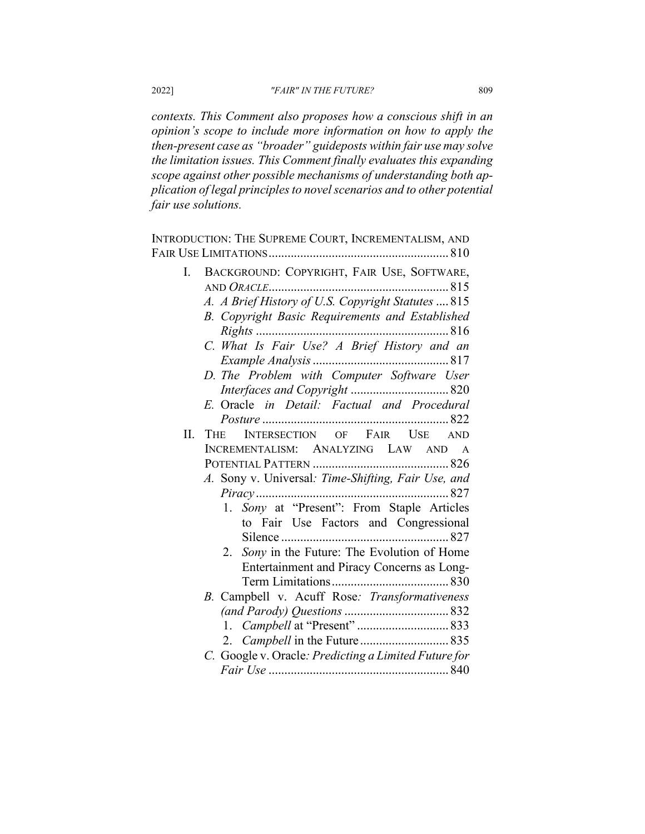*contexts. This Comment also proposes how a conscious shift in an opinion's scope to include more information on how to apply the then-present case as "broader" guideposts within fair use may solve the limitation issues. This Comment finally evaluates this expanding scope against other possible mechanisms of understanding both application of legal principles to novel scenarios and to other potential fair use solutions.*

INTRODUCTION: THE SUPREME COURT, INCREMENTALISM, AND FAIR USE LIMITATIONS......................................................... 810 I. BACKGROUND: COPYRIGHT, FAIR USE, SOFTWARE, AND *ORACLE*......................................................... 815 *A. A Brief History of U.S. Copyright Statutes* .... 815 *B. Copyright Basic Requirements and Established Rights* ............................................................. 816 *C. What Is Fair Use? A Brief History and an Example Analysis*........................................... 817 *D. The Problem with Computer Software User Interfaces and Copyright* ............................... 820 *E.* Oracle *in Detail: Factual and Procedural Posture* ........................................................... 822 II. THE INTERSECTION OF FAIR USE AND INCREMENTALISM: ANALYZING LAW AND A POTENTIAL PATTERN ........................................... 826 *A.* Sony v. Universal*: Time-Shifting, Fair Use, and Piracy* ............................................................. 827 1. *Sony* at "Present": From Staple Articles to Fair Use Factors and Congressional Silence ..................................................... 827 2. *Sony* in the Future: The Evolution of Home Entertainment and Piracy Concerns as Long-Term Limitations..................................... 830 *B.* Campbell v. Acuff Rose*: Transformativeness (and Parody) Questions*................................. 832 1. *Campbell* at "Present" ............................. 833 2. *Campbell* in the Future ............................ 835 *C.* Google v. Oracle*: Predicting a Limited Future for Fair Use* ......................................................... 840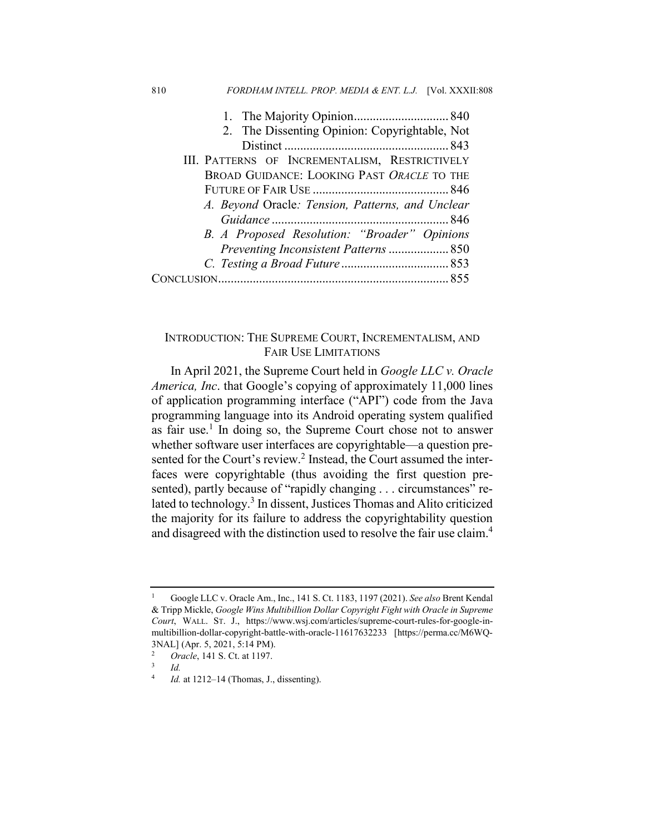| 2. The Dissenting Opinion: Copyrightable, Not    |
|--------------------------------------------------|
|                                                  |
| III. PATTERNS OF INCREMENTALISM, RESTRICTIVELY   |
| BROAD GUIDANCE: LOOKING PAST ORACLE TO THE       |
|                                                  |
| A. Beyond Oracle: Tension, Patterns, and Unclear |
|                                                  |
| B. A Proposed Resolution: "Broader" Opinions     |
|                                                  |
|                                                  |
|                                                  |

810 *FORDHAM INTELL. PROP. MEDIA & ENT. L.J.* [Vol. XXXII:808

## INTRODUCTION: THE SUPREME COURT, INCREMENTALISM, AND FAIR USE LIMITATIONS

In April 2021, the Supreme Court held in *Google LLC v. Oracle America, Inc*. that Google's copying of approximately 11,000 lines of application programming interface ("API") code from the Java programming language into its Android operating system qualified as fair use.<sup>1</sup> In doing so, the Supreme Court chose not to answer whether software user interfaces are copyrightable—a question presented for the Court's review.<sup>2</sup> Instead, the Court assumed the interfaces were copyrightable (thus avoiding the first question presented), partly because of "rapidly changing . . . circumstances" related to technology.<sup>3</sup> In dissent, Justices Thomas and Alito criticized the majority for its failure to address the copyrightability question and disagreed with the distinction used to resolve the fair use claim.4

<sup>1</sup> Google LLC v. Oracle Am., Inc., 141 S. Ct. 1183, 1197 (2021). *See also* Brent Kendal & Tripp Mickle, *Google Wins Multibillion Dollar Copyright Fight with Oracle in Supreme Court*, WALL. ST. J., https://www.wsj.com/articles/supreme-court-rules-for-google-inmultibillion-dollar-copyright-battle-with-oracle-11617632233 [https://perma.cc/M6WQ-3NAL] (Apr. 5, 2021, 5:14 PM).

<sup>&</sup>lt;sup>2</sup> *Oracle*, 141 S. Ct. at 1197.

 $\frac{3}{4}$  *Id.* 

*Id.* at 1212–14 (Thomas, J., dissenting).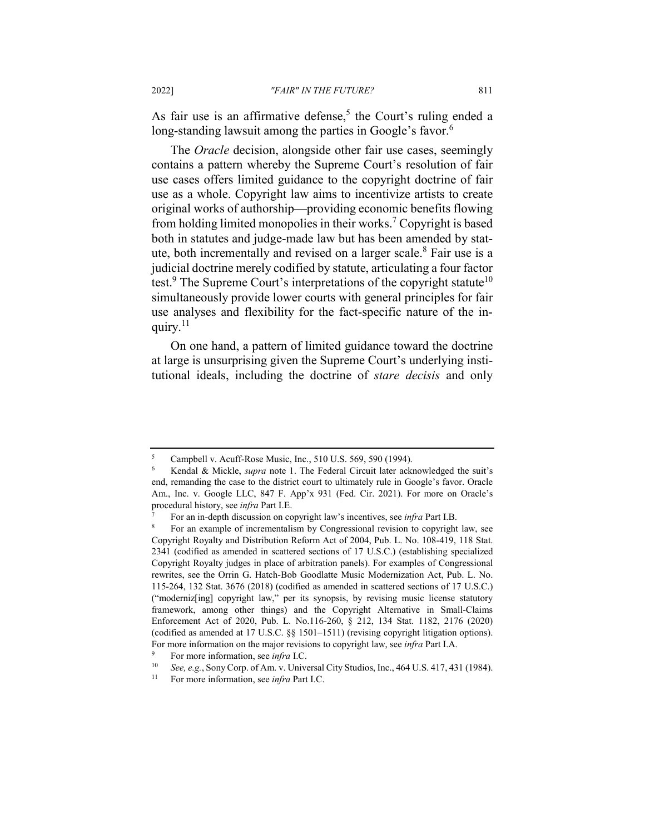As fair use is an affirmative defense,<sup>5</sup> the Court's ruling ended a long-standing lawsuit among the parties in Google's favor.<sup>6</sup>

The *Oracle* decision, alongside other fair use cases, seemingly contains a pattern whereby the Supreme Court's resolution of fair use cases offers limited guidance to the copyright doctrine of fair use as a whole. Copyright law aims to incentivize artists to create original works of authorship—providing economic benefits flowing from holding limited monopolies in their works.<sup>7</sup> Copyright is based both in statutes and judge-made law but has been amended by statute, both incrementally and revised on a larger scale. $8$  Fair use is a judicial doctrine merely codified by statute, articulating a four factor test.<sup>9</sup> The Supreme Court's interpretations of the copyright statute<sup>10</sup> simultaneously provide lower courts with general principles for fair use analyses and flexibility for the fact-specific nature of the inquiry. $^{11}$ 

On one hand, a pattern of limited guidance toward the doctrine at large is unsurprising given the Supreme Court's underlying institutional ideals, including the doctrine of *stare decisis* and only

<sup>5</sup> Campbell v. Acuff-Rose Music, Inc., 510 U.S. 569, 590 (1994).

<sup>6</sup> Kendal & Mickle, *supra* note 1. The Federal Circuit later acknowledged the suit's end, remanding the case to the district court to ultimately rule in Google's favor. Oracle Am., Inc. v. Google LLC, 847 F. App'x 931 (Fed. Cir. 2021). For more on Oracle's procedural history, see *infra* Part I.E.

<sup>7</sup> For an in-depth discussion on copyright law's incentives, see *infra* Part I.B.

<sup>8</sup> For an example of incrementalism by Congressional revision to copyright law, see Copyright Royalty and Distribution Reform Act of 2004, Pub. L. No. 108-419, 118 Stat. 2341 (codified as amended in scattered sections of 17 U.S.C.) (establishing specialized Copyright Royalty judges in place of arbitration panels). For examples of Congressional rewrites, see the Orrin G. Hatch-Bob Goodlatte Music Modernization Act, Pub. L. No. 115-264, 132 Stat. 3676 (2018) (codified as amended in scattered sections of 17 U.S.C.) ("moderniz[ing] copyright law," per its synopsis, by revising music license statutory framework, among other things) and the Copyright Alternative in Small-Claims Enforcement Act of 2020, Pub. L. No.116-260, § 212, 134 Stat. 1182, 2176 (2020) (codified as amended at 17 U.S.C. §§ 1501–1511) (revising copyright litigation options). For more information on the major revisions to copyright law, see *infra* Part I.A.

<sup>&</sup>lt;sup>9</sup> For more information, see *infra* I.C.<br><sup>10</sup> See a.g. Sony Corp of Am y Unive

See, e.g., Sony Corp. of Am. v. Universal City Studios, Inc., 464 U.S. 417, 431 (1984).

<sup>11</sup> For more information, see *infra* Part I.C.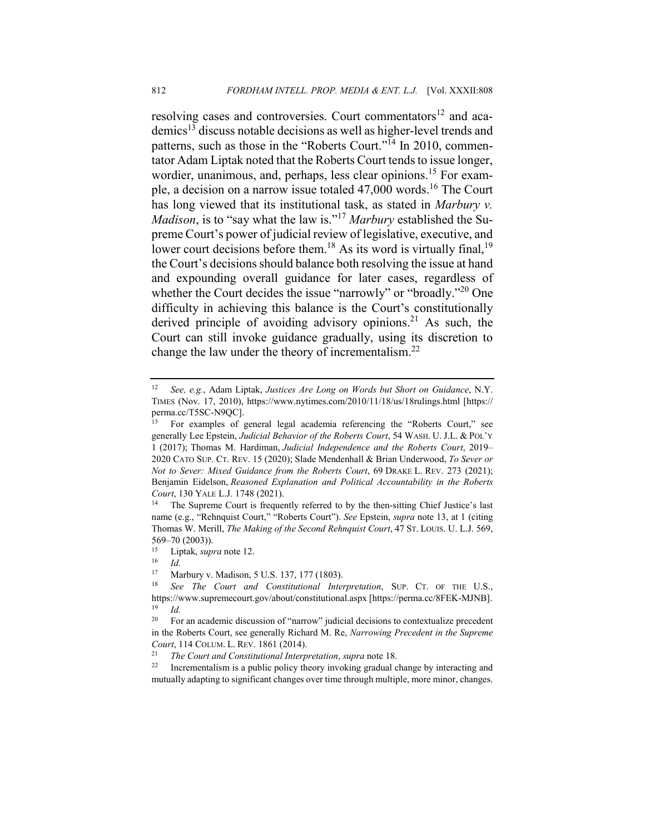resolving cases and controversies. Court commentators<sup>12</sup> and academics13 discuss notable decisions as well as higher-level trends and patterns, such as those in the "Roberts Court."<sup>14</sup> In 2010, commentator Adam Liptak noted that the Roberts Court tends to issue longer, wordier, unanimous, and, perhaps, less clear opinions.<sup>15</sup> For example, a decision on a narrow issue totaled 47,000 words.16 The Court has long viewed that its institutional task, as stated in *Marbury v. Madison*, is to "say what the law is."<sup>17</sup> *Marbury* established the Supreme Court's power of judicial review of legislative, executive, and lower court decisions before them.<sup>18</sup> As its word is virtually final,<sup>19</sup> the Court's decisions should balance both resolving the issue at hand and expounding overall guidance for later cases, regardless of whether the Court decides the issue "narrowly" or "broadly."<sup>20</sup> One difficulty in achieving this balance is the Court's constitutionally derived principle of avoiding advisory opinions.<sup>21</sup> As such, the Court can still invoke guidance gradually, using its discretion to change the law under the theory of incrementalism.<sup>22</sup>

<sup>12</sup> *See, e.g.*, Adam Liptak, *Justices Are Long on Words but Short on Guidance*, N.Y. TIMES (Nov. 17, 2010), https://www.nytimes.com/2010/11/18/us/18rulings.html [https:// perma.cc/T5SC-N9QC].

<sup>13</sup> For examples of general legal academia referencing the "Roberts Court," see generally Lee Epstein, *Judicial Behavior of the Roberts Court*, 54 WASH. U. J.L. & POL'Y 1 (2017); Thomas M. Hardiman, *Judicial Independence and the Roberts Court*, 2019– 2020 CATO SUP. CT. REV. 15 (2020); Slade Mendenhall & Brian Underwood, *To Sever or Not to Sever: Mixed Guidance from the Roberts Court*, 69 DRAKE L. REV. 273 (2021); Benjamin Eidelson, *Reasoned Explanation and Political Accountability in the Roberts Court*, 130 YALE L.J. 1748 (2021).

<sup>&</sup>lt;sup>14</sup> The Supreme Court is frequently referred to by the then-sitting Chief Justice's last name (e.g., "Rehnquist Court," "Roberts Court"). *See* Epstein, *supra* note 13, at 1 (citing Thomas W. Merill, *The Making of the Second Rehnquist Court*, 47 ST. LOUIS. U. L.J. 569, 569–70 (2003)).

<sup>&</sup>lt;sup>15</sup> Liptak, *supra* note 12.

 $\frac{16}{17}$  *Id.* 

Marbury v. Madison, 5 U.S. 137, 177 (1803).

<sup>18</sup> *See The Court and Constitutional Interpretation*, SUP. CT. OF THE U.S., https://www.supremecourt.gov/about/constitutional.aspx [https://perma.cc/8FEK-MJNB]. <sup>19</sup> *Id.*

<sup>&</sup>lt;sup>20</sup> For an academic discussion of "narrow" judicial decisions to contextualize precedent in the Roberts Court, see generally Richard M. Re, *Narrowing Precedent in the Supreme Court*, 114 COLUM. L. REV. 1861 (2014).

<sup>21</sup> *The Court and Constitutional Interpretation*, *supra* note 18.

 $22$  Incrementalism is a public policy theory invoking gradual change by interacting and mutually adapting to significant changes over time through multiple, more minor, changes.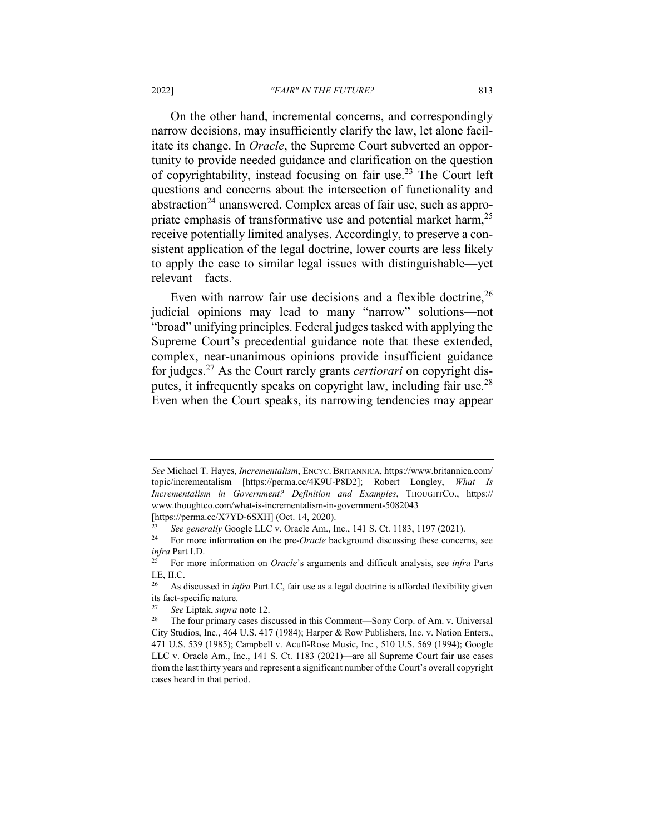On the other hand, incremental concerns, and correspondingly narrow decisions, may insufficiently clarify the law, let alone facilitate its change. In *Oracle*, the Supreme Court subverted an opportunity to provide needed guidance and clarification on the question of copyrightability, instead focusing on fair use.<sup>23</sup> The Court left questions and concerns about the intersection of functionality and abstraction<sup>24</sup> unanswered. Complex areas of fair use, such as appropriate emphasis of transformative use and potential market harm,<sup>25</sup> receive potentially limited analyses. Accordingly, to preserve a consistent application of the legal doctrine, lower courts are less likely to apply the case to similar legal issues with distinguishable—yet relevant—facts.

Even with narrow fair use decisions and a flexible doctrine,  $26$ judicial opinions may lead to many "narrow" solutions—not "broad" unifying principles. Federal judges tasked with applying the Supreme Court's precedential guidance note that these extended, complex, near-unanimous opinions provide insufficient guidance for judges.<sup>27</sup> As the Court rarely grants *certiorari* on copyright disputes, it infrequently speaks on copyright law, including fair use.<sup>28</sup> Even when the Court speaks, its narrowing tendencies may appear

*See* Michael T. Hayes, *Incrementalism*, ENCYC. BRITANNICA, https://www.britannica.com/ topic/incrementalism [https://perma.cc/4K9U-P8D2]; Robert Longley, *What Is Incrementalism in Government? Definition and Examples*, THOUGHTCO., https:// www.thoughtco.com/what-is-incrementalism-in-government-5082043 [https://perma.cc/X7YD-6SXH] (Oct. 14, 2020).

<sup>23</sup> *See generally* Google LLC v. Oracle Am., Inc., 141 S. Ct. 1183, 1197 (2021).

<sup>&</sup>lt;sup>24</sup> For more information on the pre-*Oracle* background discussing these concerns, see *infra* Part I.D.

<sup>25</sup> For more information on *Oracle*'s arguments and difficult analysis, see *infra* Parts I.E, II.C.

<sup>&</sup>lt;sup>26</sup> As discussed in *infra* Part I.C, fair use as a legal doctrine is afforded flexibility given its fact-specific nature.

<sup>27</sup> *See* Liptak, *supra* note 12.

<sup>28</sup> The four primary cases discussed in this Comment—Sony Corp. of Am. v. Universal City Studios, Inc., 464 U.S. 417 (1984); Harper & Row Publishers, Inc. v. Nation Enters., 471 U.S. 539 (1985); Campbell v. Acuff-Rose Music, Inc*.*, 510 U.S. 569 (1994); Google LLC v. Oracle Am., Inc., 141 S. Ct. 1183 (2021)—are all Supreme Court fair use cases from the last thirty years and represent a significant number of the Court's overall copyright cases heard in that period.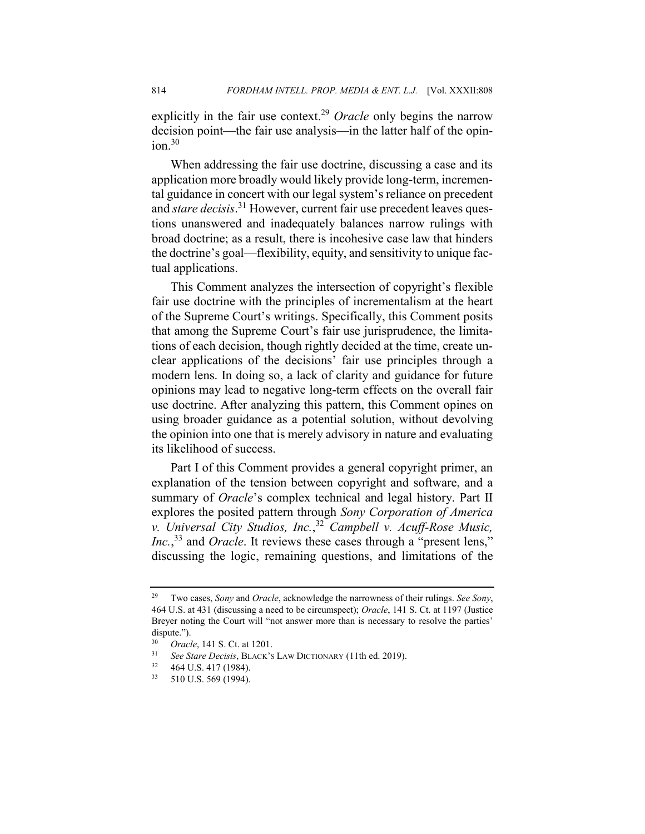explicitly in the fair use context.<sup>29</sup> *Oracle* only begins the narrow decision point—the fair use analysis—in the latter half of the opin $ion.<sup>30</sup>$ 

When addressing the fair use doctrine, discussing a case and its application more broadly would likely provide long-term, incremental guidance in concert with our legal system's reliance on precedent and *stare decisis*. <sup>31</sup> However, current fair use precedent leaves questions unanswered and inadequately balances narrow rulings with broad doctrine; as a result, there is incohesive case law that hinders the doctrine's goal—flexibility, equity, and sensitivity to unique factual applications.

This Comment analyzes the intersection of copyright's flexible fair use doctrine with the principles of incrementalism at the heart of the Supreme Court's writings. Specifically, this Comment posits that among the Supreme Court's fair use jurisprudence, the limitations of each decision, though rightly decided at the time, create unclear applications of the decisions' fair use principles through a modern lens. In doing so, a lack of clarity and guidance for future opinions may lead to negative long-term effects on the overall fair use doctrine. After analyzing this pattern, this Comment opines on using broader guidance as a potential solution, without devolving the opinion into one that is merely advisory in nature and evaluating its likelihood of success.

Part I of this Comment provides a general copyright primer, an explanation of the tension between copyright and software, and a summary of *Oracle*'s complex technical and legal history. Part II explores the posited pattern through *Sony Corporation of America v. Universal City Studios, Inc.*, <sup>32</sup> *Campbell v. Acuff-Rose Music, Inc.*,<sup>33</sup> and *Oracle*. It reviews these cases through a "present lens," discussing the logic, remaining questions, and limitations of the

<sup>29</sup> Two cases, *Sony* and *Oracle*, acknowledge the narrowness of their rulings. *See Sony*, 464 U.S. at 431 (discussing a need to be circumspect); *Oracle*, 141 S. Ct. at 1197 (Justice Breyer noting the Court will "not answer more than is necessary to resolve the parties' dispute.").<br> $\frac{30}{2}$  Orga

<sup>&</sup>lt;sup>30</sup> *Oracle*, 141 S. Ct. at 1201.

<sup>31</sup> *See Stare Decisis*, BLACK'S LAW DICTIONARY (11th ed. 2019).

<sup>464</sup> U.S. 417 (1984).

<sup>33</sup> 510 U.S. 569 (1994).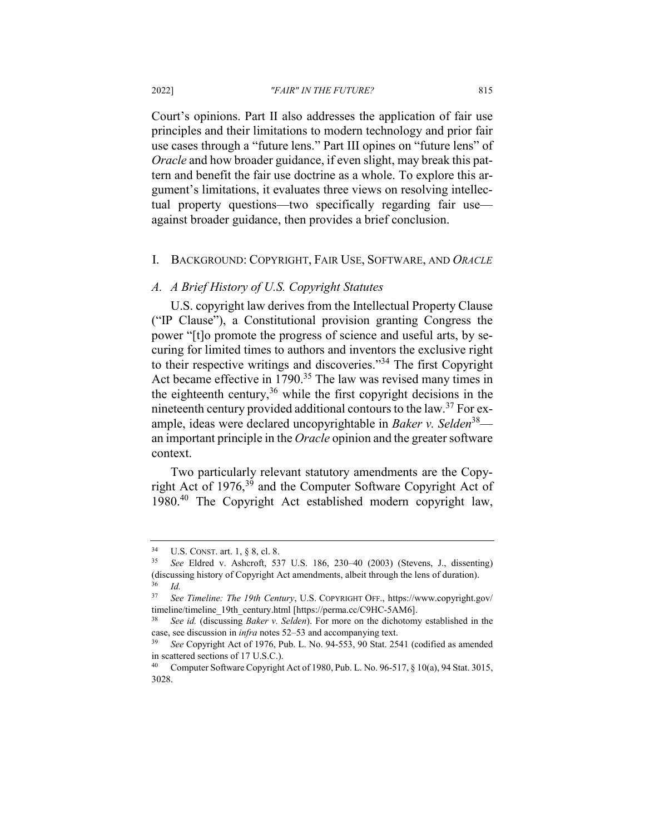Court's opinions. Part II also addresses the application of fair use principles and their limitations to modern technology and prior fair use cases through a "future lens." Part III opines on "future lens" of *Oracle* and how broader guidance, if even slight, may break this pattern and benefit the fair use doctrine as a whole. To explore this argument's limitations, it evaluates three views on resolving intellectual property questions—two specifically regarding fair use against broader guidance, then provides a brief conclusion.

#### I. BACKGROUND: COPYRIGHT, FAIR USE, SOFTWARE, AND *ORACLE*

#### *A. A Brief History of U.S. Copyright Statutes*

U.S. copyright law derives from the Intellectual Property Clause ("IP Clause"), a Constitutional provision granting Congress the power "[t]o promote the progress of science and useful arts, by securing for limited times to authors and inventors the exclusive right to their respective writings and discoveries."<sup>34</sup> The first Copyright Act became effective in 1790.<sup>35</sup> The law was revised many times in the eighteenth century,  $36$  while the first copyright decisions in the nineteenth century provided additional contours to the law.<sup>37</sup> For example, ideas were declared uncopyrightable in *Baker v. Selden*38 an important principle in the *Oracle* opinion and the greater software context.

Two particularly relevant statutory amendments are the Copyright Act of 1976,<sup>39</sup> and the Computer Software Copyright Act of 1980.40 The Copyright Act established modern copyright law,

<sup>&</sup>lt;sup>34</sup> U.S. CONST. art. 1,  $\S$  8, cl. 8.<br><sup>35</sup> See Eldred v. Ashcroft 53

<sup>35</sup> *See* Eldred v. Ashcroft, 537 U.S. 186, 230–40 (2003) (Stevens, J., dissenting) (discussing history of Copyright Act amendments, albeit through the lens of duration).  $rac{36}{37}$  *Id.* 

<sup>37</sup> *See Timeline: The 19th Century*, U.S. COPYRIGHT OFF., https://www.copyright.gov/ timeline/timeline\_19th\_century.html [https://perma.cc/C9HC-5AM6].

<sup>38</sup> *See id.* (discussing *Baker v. Selden*). For more on the dichotomy established in the case, see discussion in *infra* notes 52–53 and accompanying text.

<sup>39</sup> *See* Copyright Act of 1976, Pub. L. No. 94-553, 90 Stat. 2541 (codified as amended in scattered sections of 17 U.S.C.).

<sup>40</sup> Computer Software Copyright Act of 1980, Pub. L. No. 96-517, § 10(a), 94 Stat. 3015, 3028.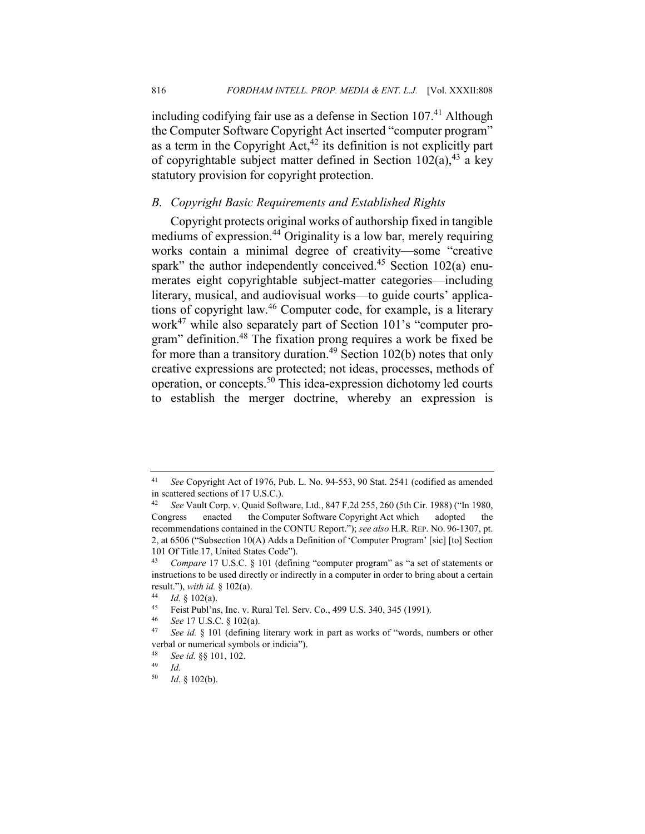including codifying fair use as a defense in Section  $107<sup>41</sup>$  Although the Computer Software Copyright Act inserted "computer program" as a term in the Copyright  $Act<sub>1</sub><sup>42</sup>$  its definition is not explicitly part of copyrightable subject matter defined in Section  $102(a)$ ,<sup>43</sup> a key statutory provision for copyright protection.

## *B. Copyright Basic Requirements and Established Rights*

Copyright protects original works of authorship fixed in tangible mediums of expression.<sup>44</sup> Originality is a low bar, merely requiring works contain a minimal degree of creativity—some "creative spark" the author independently conceived. $45$  Section 102(a) enumerates eight copyrightable subject-matter categories—including literary, musical, and audiovisual works—to guide courts' applications of copyright law.<sup>46</sup> Computer code, for example, is a literary work<sup>47</sup> while also separately part of Section 101's "computer program" definition.48 The fixation prong requires a work be fixed be for more than a transitory duration.<sup>49</sup> Section 102(b) notes that only creative expressions are protected; not ideas, processes, methods of operation, or concepts.50 This idea-expression dichotomy led courts to establish the merger doctrine, whereby an expression is

<sup>41</sup> *See* Copyright Act of 1976, Pub. L. No. 94-553, 90 Stat. 2541 (codified as amended in scattered sections of 17 U.S.C.).

<sup>42</sup> *See* Vault Corp. v. Quaid Software, Ltd., 847 F.2d 255, 260 (5th Cir. 1988) ("In 1980, Congress enacted the Computer Software Copyright Act which adopted the recommendations contained in the CONTU Report."); *see also* H.R. REP. NO. 96-1307, pt. 2, at 6506 ("Subsection 10(A) Adds a Definition of 'Computer Program' [sic] [to] Section 101 Of Title 17, United States Code").<br> $^{43}$  Compare 17 U.S.C. 8, 101 (defined

*Compare 17 U.S.C.* § 101 (defining "computer program" as "a set of statements or instructions to be used directly or indirectly in a computer in order to bring about a certain result."), *with id.* § 102(a).

<sup>44</sup> *Id.* § 102(a).

<sup>45</sup> Feist Publ'ns, Inc. v. Rural Tel. Serv. Co., 499 U.S. 340, 345 (1991).

<sup>46</sup> *See* 17 U.S.C. § 102(a).

<sup>47</sup> *See id.* § 101 (defining literary work in part as works of "words, numbers or other verbal or numerical symbols or indicia").

<sup>48</sup> *See id.* §§ 101, 102.

*Id.* 

<sup>50</sup> *Id*. § 102(b).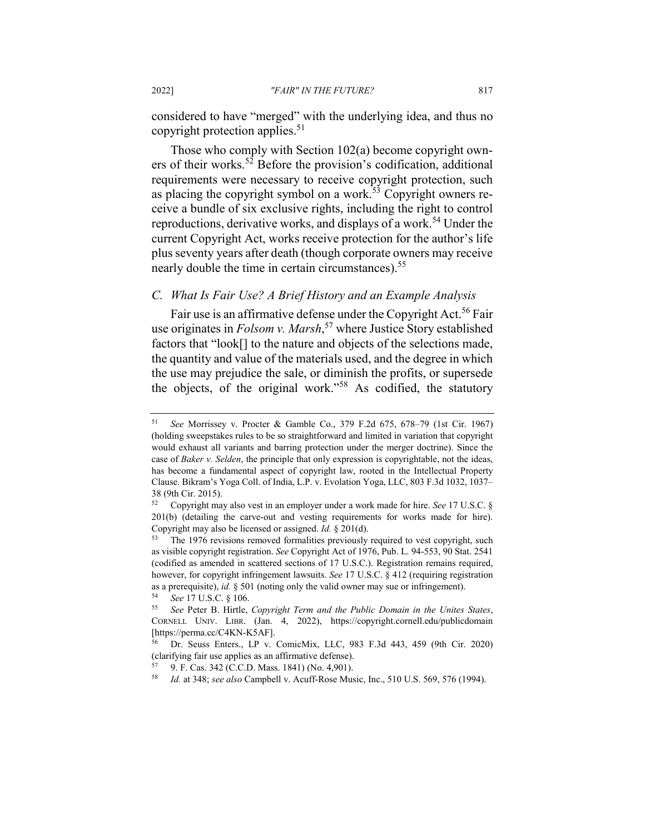considered to have "merged" with the underlying idea, and thus no copyright protection applies. $51$ 

Those who comply with Section 102(a) become copyright owners of their works.<sup>52</sup> Before the provision's codification, additional requirements were necessary to receive copyright protection, such as placing the copyright symbol on a work.<sup>53</sup> Copyright owners receive a bundle of six exclusive rights, including the right to control reproductions, derivative works, and displays of a work.<sup>54</sup> Under the current Copyright Act, works receive protection for the author's life plus seventy years after death (though corporate owners may receive nearly double the time in certain circumstances).<sup>55</sup>

## *C. What Is Fair Use? A Brief History and an Example Analysis*

Fair use is an affirmative defense under the Copyright Act.<sup>56</sup> Fair use originates in *Folsom v. Marsh*, <sup>57</sup> where Justice Story established factors that "look[] to the nature and objects of the selections made, the quantity and value of the materials used, and the degree in which the use may prejudice the sale, or diminish the profits, or supersede the objects, of the original work."<sup>58</sup> As codified, the statutory

<sup>51</sup> *See* Morrissey v. Procter & Gamble Co., 379 F.2d 675, 678–79 (1st Cir. 1967) (holding sweepstakes rules to be so straightforward and limited in variation that copyright would exhaust all variants and barring protection under the merger doctrine). Since the case of *Baker v. Selden*, the principle that only expression is copyrightable, not the ideas, has become a fundamental aspect of copyright law, rooted in the Intellectual Property Clause. Bikram's Yoga Coll. of India, L.P. v. Evolation Yoga, LLC, 803 F.3d 1032, 1037– 38 (9th Cir. 2015).

<sup>52</sup> Copyright may also vest in an employer under a work made for hire. *See* 17 U.S.C. § 201(b) (detailing the carve-out and vesting requirements for works made for hire). Copyright may also be licensed or assigned. *Id.* § 201(d).

<sup>&</sup>lt;sup>53</sup> The 1976 revisions removed formalities previously required to vest copyright, such as visible copyright registration. *See* Copyright Act of 1976, Pub. L. 94-553, 90 Stat. 2541 (codified as amended in scattered sections of 17 U.S.C.). Registration remains required, however, for copyright infringement lawsuits. *See* 17 U.S.C. § 412 (requiring registration as a prerequisite), *id.* § 501 (noting only the valid owner may sue or infringement).

<sup>54</sup> *See* 17 U.S.C. § 106.

<sup>55</sup> *See* Peter B. Hirtle, *Copyright Term and the Public Domain in the Unites States*, CORNELL UNIV. LIBR. (Jan. 4, 2022), https://copyright.cornell.edu/publicdomain [https://perma.cc/C4KN-K5AF].

<sup>56</sup> Dr. Seuss Enters., LP v. ComicMix, LLC, 983 F.3d 443, 459 (9th Cir. 2020) (clarifying fair use applies as an affirmative defense).

<sup>57</sup> 9. F. Cas. 342 (C.C.D. Mass. 1841) (No. 4,901).

<sup>58</sup> *Id.* at 348; *see also* Campbell v. Acuff-Rose Music, Inc., 510 U.S. 569, 576 (1994).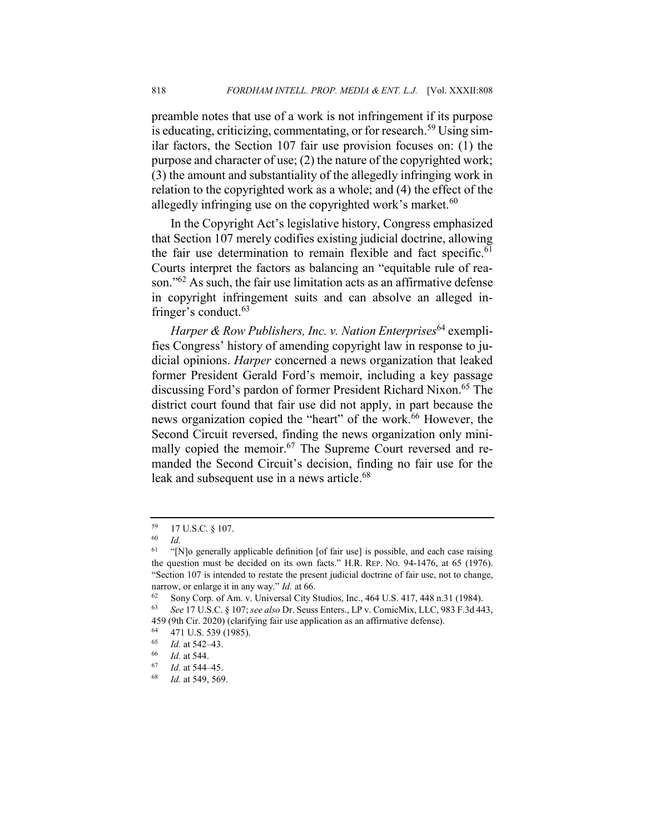preamble notes that use of a work is not infringement if its purpose is educating, criticizing, commentating, or for research.<sup>59</sup> Using similar factors, the Section 107 fair use provision focuses on: (1) the purpose and character of use; (2) the nature of the copyrighted work; (3) the amount and substantiality of the allegedly infringing work in relation to the copyrighted work as a whole; and (4) the effect of the allegedly infringing use on the copyrighted work's market.<sup>60</sup>

In the Copyright Act's legislative history, Congress emphasized that Section 107 merely codifies existing judicial doctrine, allowing the fair use determination to remain flexible and fact specific.<sup>61</sup> Courts interpret the factors as balancing an "equitable rule of reason."62 As such, the fair use limitation acts as an affirmative defense in copyright infringement suits and can absolve an alleged infringer's conduct. $63$ 

*Harper & Row Publishers, Inc. v. Nation Enterprises*<sup>64</sup> exemplifies Congress' history of amending copyright law in response to judicial opinions. *Harper* concerned a news organization that leaked former President Gerald Ford's memoir, including a key passage discussing Ford's pardon of former President Richard Nixon.<sup>65</sup> The district court found that fair use did not apply, in part because the news organization copied the "heart" of the work.<sup>66</sup> However, the Second Circuit reversed, finding the news organization only minimally copied the memoir.<sup>67</sup> The Supreme Court reversed and remanded the Second Circuit's decision, finding no fair use for the leak and subsequent use in a news article.<sup>68</sup>

 $^{59}$  17 U.S.C. § 107.

*Id.* 

<sup>&</sup>lt;sup>61</sup> "[N]o generally applicable definition [of fair use] is possible, and each case raising the question must be decided on its own facts." H.R. REP. NO. 94-1476, at 65 (1976). "Section 107 is intended to restate the present judicial doctrine of fair use, not to change, narrow, or enlarge it in any way." *Id.* at 66.

<sup>62</sup> Sony Corp. of Am. v. Universal City Studios, Inc., 464 U.S. 417, 448 n.31 (1984).

<sup>63</sup> *See* 17 U.S.C. § 107; *see also* Dr. Seuss Enters., LP v. ComicMix, LLC, 983 F.3d 443,

<sup>459 (9</sup>th Cir. 2020) (clarifying fair use application as an affirmative defense).<br> $^{64}$   $^{471}$  U.S. 520 (1095)

 $^{64}$  471 U.S. 539 (1985).

 $\frac{65}{66}$  *Id.* at 542–43.

<sup>66</sup> *Id.* at 544.

<sup>67</sup> *Id.* at 544–45.

<sup>68</sup> *Id.* at 549, 569.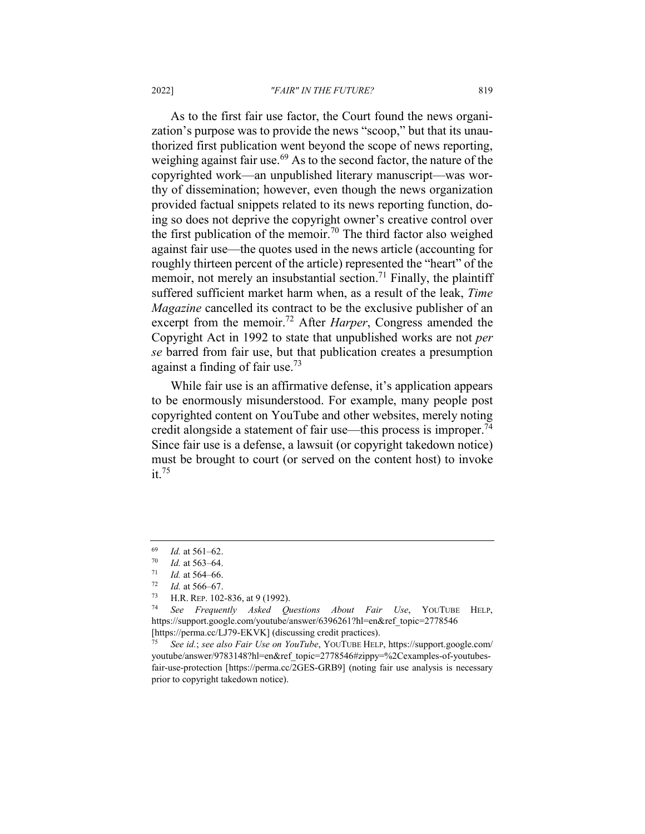#### 2022] *"FAIR" IN THE FUTURE?* 819

As to the first fair use factor, the Court found the news organization's purpose was to provide the news "scoop," but that its unauthorized first publication went beyond the scope of news reporting, weighing against fair use.<sup>69</sup> As to the second factor, the nature of the copyrighted work—an unpublished literary manuscript—was worthy of dissemination; however, even though the news organization provided factual snippets related to its news reporting function, doing so does not deprive the copyright owner's creative control over the first publication of the memoir.<sup>70</sup> The third factor also weighed against fair use—the quotes used in the news article (accounting for roughly thirteen percent of the article) represented the "heart" of the memoir, not merely an insubstantial section.<sup>71</sup> Finally, the plaintiff suffered sufficient market harm when, as a result of the leak, *Time Magazine* cancelled its contract to be the exclusive publisher of an excerpt from the memoir.72 After *Harper*, Congress amended the Copyright Act in 1992 to state that unpublished works are not *per se* barred from fair use, but that publication creates a presumption against a finding of fair use.<sup>73</sup>

While fair use is an affirmative defense, it's application appears to be enormously misunderstood. For example, many people post copyrighted content on YouTube and other websites, merely noting credit alongside a statement of fair use—this process is improper.<sup>74</sup> Since fair use is a defense, a lawsuit (or copyright takedown notice) must be brought to court (or served on the content host) to invoke  $it.^{75}$ 

 $\frac{69}{70}$  *Id.* at 561–62.

 $\frac{70}{71}$  *Id.* at 563–64.

 $\frac{71}{72}$  *Id.* at 564–66.<br> $\frac{72}{72}$  *Id.* at 566–67.

 $\frac{72}{73}$  *Id.* at 566–67.

H.R. REP. 102-836, at 9 (1992).

<sup>74</sup> *See Frequently Asked Questions About Fair Use*, YOUTUBE HELP, https://support.google.com/youtube/answer/6396261?hl=en&ref\_topic=2778546 [https://perma.cc/LJ79-EKVK] (discussing credit practices).

<sup>75</sup> *See id.*; *see also Fair Use on YouTube*, YOUTUBE HELP, https://support.google.com/ youtube/answer/9783148?hl=en&ref\_topic=2778546#zippy=%2Cexamples-of-youtubesfair-use-protection [https://perma.cc/2GES-GRB9] (noting fair use analysis is necessary prior to copyright takedown notice).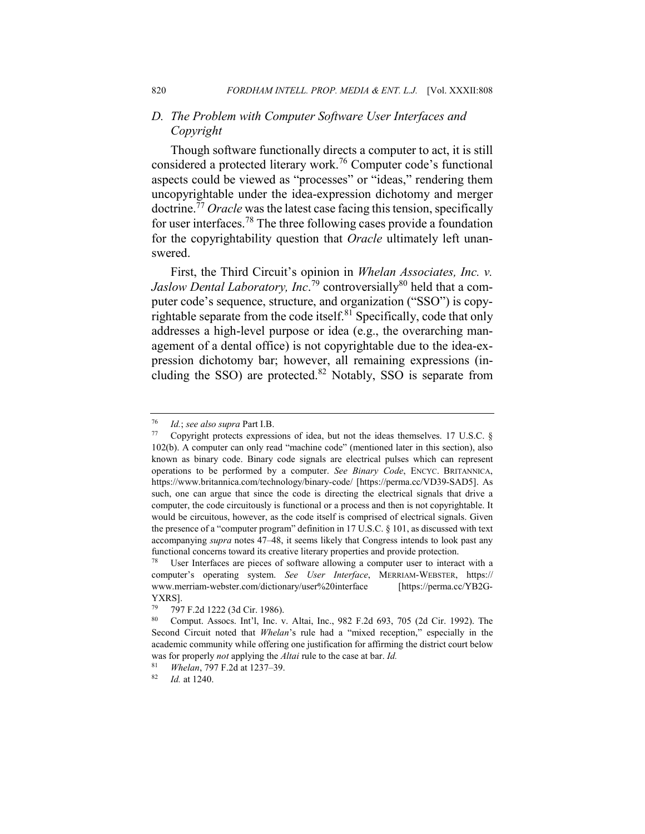## *D. The Problem with Computer Software User Interfaces and Copyright*

Though software functionally directs a computer to act, it is still considered a protected literary work.<sup>76</sup> Computer code's functional aspects could be viewed as "processes" or "ideas," rendering them uncopyrightable under the idea-expression dichotomy and merger doctrine.<sup>77</sup> *Oracle* was the latest case facing this tension, specifically for user interfaces.<sup>78</sup> The three following cases provide a foundation for the copyrightability question that *Oracle* ultimately left unanswered.

First, the Third Circuit's opinion in *Whelan Associates, Inc. v.*  Jaslow Dental Laboratory, Inc.<sup>79</sup> controversially<sup>80</sup> held that a computer code's sequence, structure, and organization ("SSO") is copyrightable separate from the code itself.<sup>81</sup> Specifically, code that only addresses a high-level purpose or idea (e.g., the overarching management of a dental office) is not copyrightable due to the idea-expression dichotomy bar; however, all remaining expressions (including the SSO) are protected.<sup>82</sup> Notably, SSO is separate from

<sup>76</sup> *Id.*; *see also supra* Part I.B.

Copyright protects expressions of idea, but not the ideas themselves. 17 U.S.C.  $\S$ 102(b). A computer can only read "machine code" (mentioned later in this section), also known as binary code. Binary code signals are electrical pulses which can represent operations to be performed by a computer. *See Binary Code*, ENCYC. BRITANNICA, https://www.britannica.com/technology/binary-code/ [https://perma.cc/VD39-SAD5]. As such, one can argue that since the code is directing the electrical signals that drive a computer, the code circuitously is functional or a process and then is not copyrightable. It would be circuitous, however, as the code itself is comprised of electrical signals. Given the presence of a "computer program" definition in 17 U.S.C. § 101, as discussed with text accompanying *supra* notes 47–48, it seems likely that Congress intends to look past any functional concerns toward its creative literary properties and provide protection.

<sup>78</sup> User Interfaces are pieces of software allowing a computer user to interact with a computer's operating system. *See User Interface*, MERRIAM-WEBSTER, https:// www.merriam-webster.com/dictionary/user%20interface [https://perma.cc/YB2G-YXRS].

<sup>79</sup> 797 F.2d 1222 (3d Cir. 1986).

<sup>80</sup> Comput. Assocs. Int'l, Inc. v. Altai, Inc., 982 F.2d 693, 705 (2d Cir. 1992). The Second Circuit noted that *Whelan*'s rule had a "mixed reception," especially in the academic community while offering one justification for affirming the district court below was for properly *not* applying the *Altai* rule to the case at bar. *Id.*

<sup>81</sup> *Whelan*, 797 F.2d at 1237–39.

<sup>82</sup> *Id.* at 1240.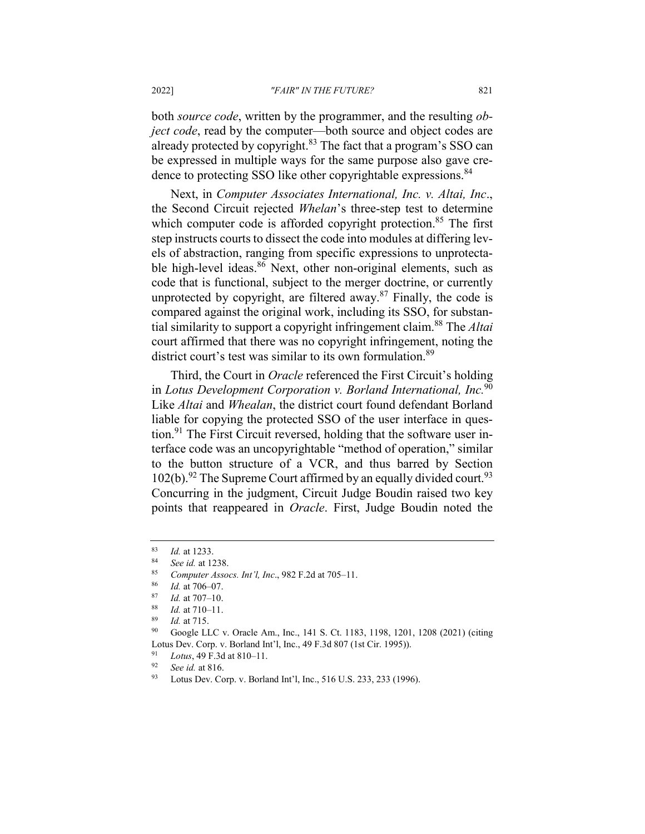#### 2022] *"FAIR" IN THE FUTURE?* 821

both *source code*, written by the programmer, and the resulting *object code*, read by the computer—both source and object codes are already protected by copyright. $83$  The fact that a program's SSO can be expressed in multiple ways for the same purpose also gave credence to protecting SSO like other copyrightable expressions.<sup>84</sup>

Next, in *Computer Associates International, Inc. v. Altai, Inc*., the Second Circuit rejected *Whelan*'s three-step test to determine which computer code is afforded copyright protection.<sup>85</sup> The first step instructs courts to dissect the code into modules at differing levels of abstraction, ranging from specific expressions to unprotectable high-level ideas. $86$  Next, other non-original elements, such as code that is functional, subject to the merger doctrine, or currently unprotected by copyright, are filtered away. $87$  Finally, the code is compared against the original work, including its SSO, for substantial similarity to support a copyright infringement claim.88 The *Altai* court affirmed that there was no copyright infringement, noting the district court's test was similar to its own formulation.<sup>89</sup>

Third, the Court in *Oracle* referenced the First Circuit's holding in *Lotus Development Corporation v. Borland International, Inc.*<sup>90</sup> Like *Altai* and *Whealan*, the district court found defendant Borland liable for copying the protected SSO of the user interface in question.<sup>91</sup> The First Circuit reversed, holding that the software user interface code was an uncopyrightable "method of operation," similar to the button structure of a VCR, and thus barred by Section  $102(b)$ .<sup>92</sup> The Supreme Court affirmed by an equally divided court.<sup>93</sup> Concurring in the judgment, Circuit Judge Boudin raised two key points that reappeared in *Oracle*. First, Judge Boudin noted the

 $\frac{83}{84}$  *Id.* at 1233.

<sup>84</sup> *See id.* at 1238.

<sup>85</sup> *Computer Assocs. Int'l, Inc*., 982 F.2d at 705–11.

 $\frac{86}{87}$  *Id.* at 706–07.

<sup>87</sup> *Id.* at 707–10.

<sup>88</sup> *Id.* at 710–11.

<sup>89</sup> *Id.* at 715.

Google LLC v. Oracle Am., Inc., 141 S. Ct. 1183, 1198, 1201, 1208 (2021) (citing Lotus Dev. Corp. v. Borland Int'l, Inc., 49 F.3d 807 (1st Cir. 1995)).

<sup>&</sup>lt;sup>91</sup> *Lotus*, 49 F.3d at 810–11.

<sup>92</sup> *See id.* at 816.

<sup>93</sup> Lotus Dev. Corp. v. Borland Int'l, Inc., 516 U.S. 233, 233 (1996).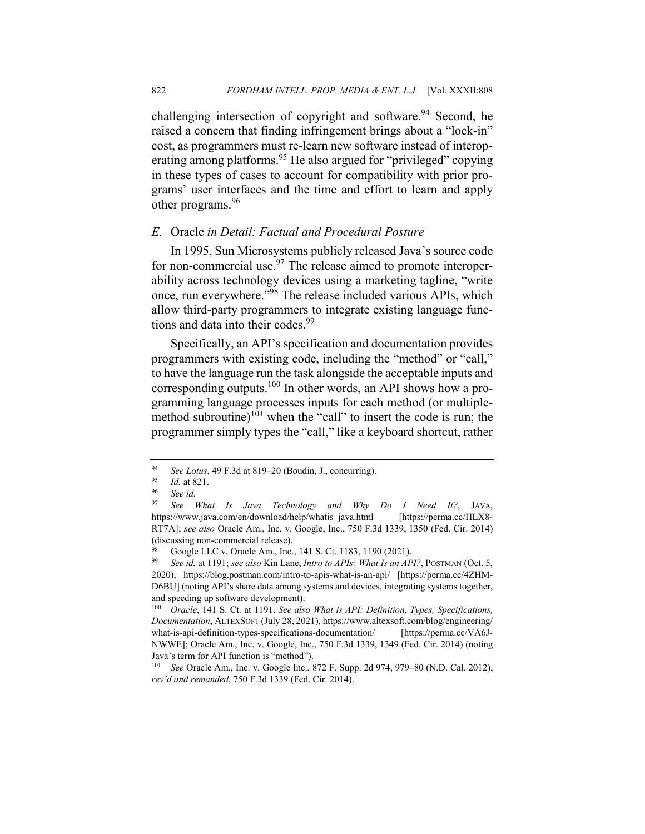challenging intersection of copyright and software.<sup>94</sup> Second, he raised a concern that finding infringement brings about a "lock-in" cost, as programmers must re-learn new software instead of interoperating among platforms.<sup>95</sup> He also argued for "privileged" copying in these types of cases to account for compatibility with prior programs' user interfaces and the time and effort to learn and apply other programs.<sup>96</sup>

## *E.* Oracle *in Detail: Factual and Procedural Posture*

In 1995, Sun Microsystems publicly released Java's source code for non-commercial use.<sup>97</sup> The release aimed to promote interoperability across technology devices using a marketing tagline, "write once, run everywhere."<sup>98</sup> The release included various APIs, which allow third-party programmers to integrate existing language functions and data into their codes.<sup>99</sup>

Specifically, an API's specification and documentation provides programmers with existing code, including the "method" or "call," to have the language run the task alongside the acceptable inputs and corresponding outputs.<sup>100</sup> In other words, an API shows how a programming language processes inputs for each method (or multiplemethod subroutine) $1^{101}$  when the "call" to insert the code is run; the programmer simply types the "call," like a keyboard shortcut, rather

<sup>94</sup> *See Lotus*, 49 F.3d at 819–20 (Boudin, J., concurring).

 $\frac{95}{96}$  *Id.* at 821.

<sup>96</sup> *See id.*

<sup>97</sup> *See What Is Java Technology and Why Do I Need It?*, JAVA, https://www.java.com/en/download/help/whatis\_java.html [https://perma.cc/HLX8- RT7A]; *see also* Oracle Am., Inc. v. Google, Inc., 750 F.3d 1339, 1350 (Fed. Cir. 2014) (discussing non-commercial release).

<sup>&</sup>lt;sup>98</sup> Google LLC v. Oracle Am., Inc., 141 S. Ct. 1183, 1190 (2021).<br><sup>99</sup> See id at 1191: see also Kin Lang, Intro to APIs: What Is an AP

<sup>99</sup> *See id.* at 1191; *see also* Kin Lane, *Intro to APIs: What Is an API?*, POSTMAN (Oct. 5, 2020), https://blog.postman.com/intro-to-apis-what-is-an-api/ [https://perma.cc/4ZHM-D6BU] (noting API's share data among systems and devices, integrating systems together, and speeding up software development).

<sup>100</sup> *Oracle*, 141 S. Ct. at 1191. *See also What is API: Definition, Types, Specifications, Documentation*, ALTEXSOFT (July 28, 2021), https://www.altexsoft.com/blog/engineering/ what-is-api-definition-types-specifications-documentation/ [https://perma.cc/VA6J-NWWE]; Oracle Am., Inc. v. Google, Inc., 750 F.3d 1339, 1349 (Fed. Cir. 2014) (noting Java's term for API function is "method").

<sup>101</sup> *See* Oracle Am., Inc. v. Google Inc., 872 F. Supp. 2d 974, 979–80 (N.D. Cal. 2012), *rev'd and remanded*, 750 F.3d 1339 (Fed. Cir. 2014).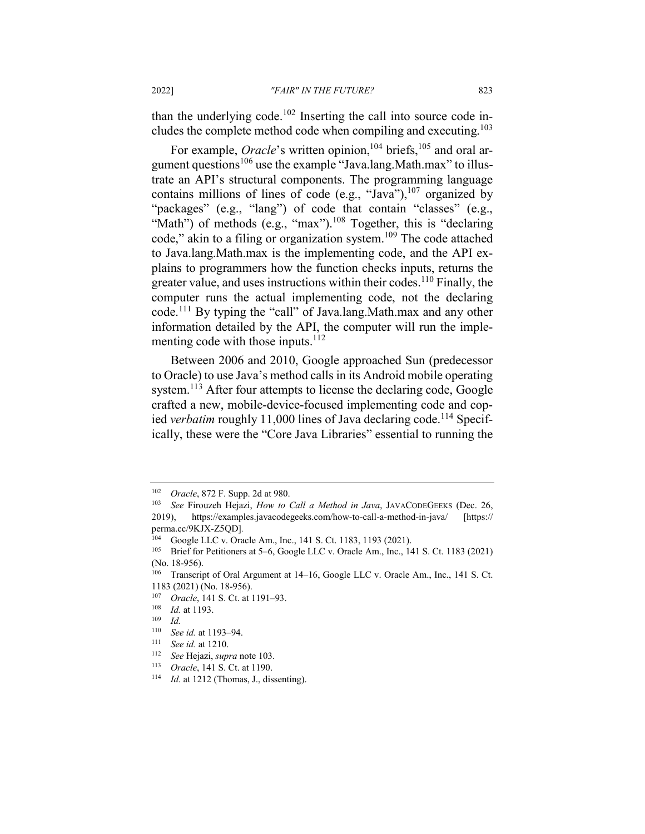than the underlying code.<sup>102</sup> Inserting the call into source code includes the complete method code when compiling and executing.103

For example, *Oracle*'s written opinion,<sup>104</sup> briefs,<sup>105</sup> and oral argument questions<sup>106</sup> use the example "Java.lang.Math.max" to illustrate an API's structural components. The programming language contains millions of lines of code (e.g., "Java"), $107$  organized by "packages" (e.g., "lang") of code that contain "classes" (e.g., "Math") of methods (e.g., "max").<sup>108</sup> Together, this is "declaring code," akin to a filing or organization system.<sup>109</sup> The code attached to Java.lang.Math.max is the implementing code, and the API explains to programmers how the function checks inputs, returns the greater value, and uses instructions within their codes.<sup>110</sup> Finally, the computer runs the actual implementing code, not the declaring code.<sup>111</sup> By typing the "call" of Java.lang.Math.max and any other information detailed by the API, the computer will run the implementing code with those inputs. $112$ 

Between 2006 and 2010, Google approached Sun (predecessor to Oracle) to use Java's method calls in its Android mobile operating system.<sup>113</sup> After four attempts to license the declaring code, Google crafted a new, mobile-device-focused implementing code and copied *verbatim* roughly 11,000 lines of Java declaring code.<sup>114</sup> Specifically, these were the "Core Java Libraries" essential to running the

<sup>113</sup> *Oracle*, 141 S. Ct. at 1190.

<sup>102</sup> *Oracle*, 872 F. Supp. 2d at 980.

<sup>103</sup> *See* Firouzeh Hejazi, *How to Call a Method in Java*, JAVACODEGEEKS (Dec. 26, 2019), https://examples.javacodegeeks.com/how-to-call-a-method-in-java/ [https:// perma.cc/9KJX-Z5QD]*.*

<sup>104</sup> Google LLC v. Oracle Am., Inc., 141 S. Ct. 1183, 1193 (2021).

<sup>105</sup> Brief for Petitioners at 5–6, Google LLC v. Oracle Am., Inc., 141 S. Ct. 1183 (2021) (No. 18-956).

<sup>106</sup> Transcript of Oral Argument at 14–16, Google LLC v. Oracle Am., Inc., 141 S. Ct. 1183 (2021) (No. 18-956).

<sup>107</sup> *Oracle*, 141 S. Ct. at 1191–93.

<sup>108</sup> *Id.* at 1193.

 $\frac{109}{110}$  *Id.* 

<sup>&</sup>lt;sup>110</sup> *See id.* at 1193–94.<br><sup>111</sup> See id. at 1210

See id. at 1210.

<sup>112</sup> *See* Hejazi, *supra* note 103.

<sup>114</sup> *Id*. at 1212 (Thomas, J., dissenting).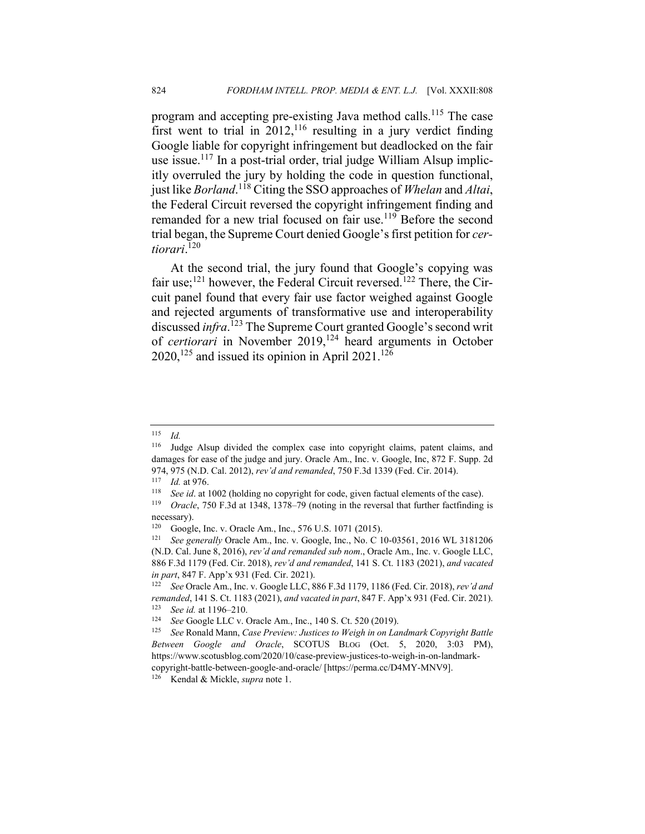program and accepting pre-existing Java method calls.<sup>115</sup> The case first went to trial in  $2012$ ,<sup>116</sup> resulting in a jury verdict finding Google liable for copyright infringement but deadlocked on the fair use issue.<sup>117</sup> In a post-trial order, trial judge William Alsup implicitly overruled the jury by holding the code in question functional, just like *Borland*. <sup>118</sup> Citing the SSO approaches of *Whelan* and *Altai*, the Federal Circuit reversed the copyright infringement finding and remanded for a new trial focused on fair use.<sup>119</sup> Before the second trial began, the Supreme Court denied Google's first petition for *certiorari*. 120

At the second trial, the jury found that Google's copying was fair use;<sup>121</sup> however, the Federal Circuit reversed.<sup>122</sup> There, the Circuit panel found that every fair use factor weighed against Google and rejected arguments of transformative use and interoperability discussed *infra*. <sup>123</sup> The Supreme Court granted Google's second writ of *certiorari* in November 2019,<sup>124</sup> heard arguments in October 2020,<sup>125</sup> and issued its opinion in April 2021.<sup>126</sup>

<sup>115</sup> *Id.*

<sup>116</sup> Judge Alsup divided the complex case into copyright claims, patent claims, and damages for ease of the judge and jury. Oracle Am., Inc. v. Google, Inc, 872 F. Supp. 2d 974, 975 (N.D. Cal. 2012), *rev'd and remanded*, 750 F.3d 1339 (Fed. Cir. 2014).

 $\frac{117}{118}$  *Id.* at 976.

See id. at 1002 (holding no copyright for code, given factual elements of the case).

<sup>119</sup> *Oracle*, 750 F.3d at 1348, 1378–79 (noting in the reversal that further factfinding is necessary).

<sup>120</sup> Google, Inc. v. Oracle Am., Inc., 576 U.S. 1071 (2015).

<sup>121</sup> *See generally* Oracle Am., Inc. v. Google, Inc., No. C 10-03561, 2016 WL 3181206 (N.D. Cal. June 8, 2016), *rev'd and remanded sub nom*., Oracle Am., Inc. v. Google LLC, 886 F.3d 1179 (Fed. Cir. 2018), *rev'd and remanded*, 141 S. Ct. 1183 (2021), *and vacated in part*, 847 F. App'x 931 (Fed. Cir. 2021).<br><sup>122</sup> See Oracle Am Jnc v. Google LLC 8

<sup>122</sup> *See* Oracle Am., Inc. v. Google LLC, 886 F.3d 1179, 1186 (Fed. Cir. 2018), *rev'd and remanded*, 141 S. Ct. 1183 (2021), *and vacated in part*, 847 F. App'x 931 (Fed. Cir. 2021). <sup>123</sup> *See id.* at 1196–210.

<sup>&</sup>lt;sup>124</sup> *See* Google LLC v. Oracle Am., Inc., 140 S. Ct. 520 (2019).<br><sup>125</sup> See Bonald Mann, Case Proview: Instices to Weigh in on La

<sup>125</sup> *See* Ronald Mann, *Case Preview: Justices to Weigh in on Landmark Copyright Battle Between Google and Oracle*, SCOTUS BLOG (Oct. 5, 2020, 3:03 PM), https://www.scotusblog.com/2020/10/case-preview-justices-to-weigh-in-on-landmarkcopyright-battle-between-google-and-oracle/ [https://perma.cc/D4MY-MNV9].

<sup>126</sup> Kendal & Mickle, *supra* note 1.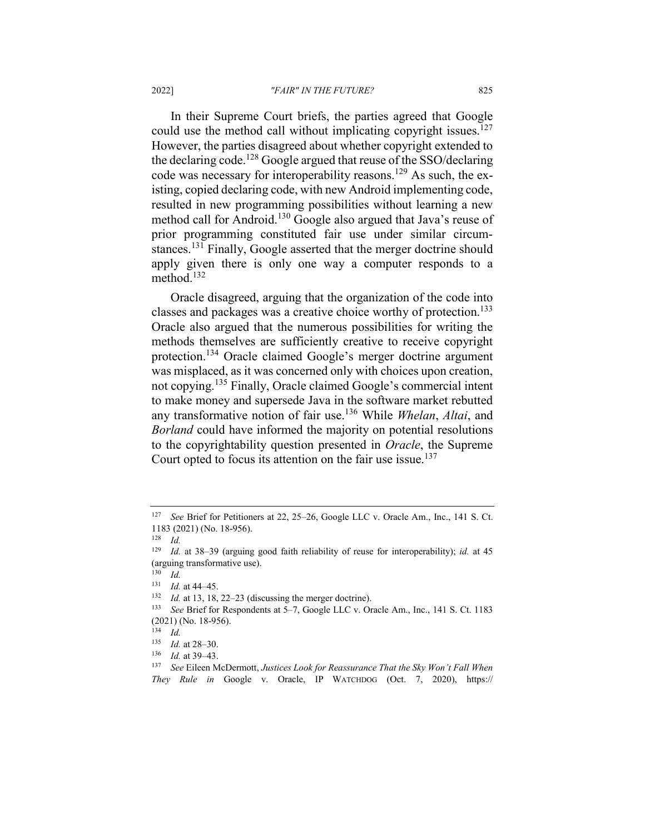In their Supreme Court briefs, the parties agreed that Google could use the method call without implicating copyright issues.<sup>127</sup> However, the parties disagreed about whether copyright extended to the declaring code.<sup>128</sup> Google argued that reuse of the SSO/declaring code was necessary for interoperability reasons.<sup>129</sup> As such, the existing, copied declaring code, with new Android implementing code, resulted in new programming possibilities without learning a new method call for Android.<sup>130</sup> Google also argued that Java's reuse of prior programming constituted fair use under similar circumstances.<sup>131</sup> Finally, Google asserted that the merger doctrine should apply given there is only one way a computer responds to a method.132

Oracle disagreed, arguing that the organization of the code into classes and packages was a creative choice worthy of protection.<sup>133</sup> Oracle also argued that the numerous possibilities for writing the methods themselves are sufficiently creative to receive copyright protection.134 Oracle claimed Google's merger doctrine argument was misplaced, as it was concerned only with choices upon creation, not copying.<sup>135</sup> Finally, Oracle claimed Google's commercial intent to make money and supersede Java in the software market rebutted any transformative notion of fair use.<sup>136</sup> While *Whelan*, *Altai*, and *Borland* could have informed the majority on potential resolutions to the copyrightability question presented in *Oracle*, the Supreme Court opted to focus its attention on the fair use issue.<sup>137</sup>

<sup>127</sup> *See* Brief for Petitioners at 22, 25–26, Google LLC v. Oracle Am., Inc., 141 S. Ct. 1183 (2021) (No. 18-956).

<sup>128</sup> *Id.*

<sup>129</sup> *Id.* at 38–39 (arguing good faith reliability of reuse for interoperability); *id.* at 45 (arguing transformative use).

 $\frac{130}{131}$  *Id.* 

 $\frac{131}{132}$  *Id.* at 44–45.

*Id.* at 13, 18, 22–23 (discussing the merger doctrine).

<sup>133</sup> *See* Brief for Respondents at 5–7, Google LLC v. Oracle Am., Inc., 141 S. Ct. 1183 (2021) (No. 18-956).

 $134$  *Id.* 

 $\frac{135}{136}$  *Id.* at 28–30.

<sup>136</sup> *Id.* at 39–43.

<sup>137</sup> *See* Eileen McDermott, *Justices Look for Reassurance That the Sky Won't Fall When They Rule in* Google v. Oracle, IP WATCHDOG (Oct. 7, 2020), https://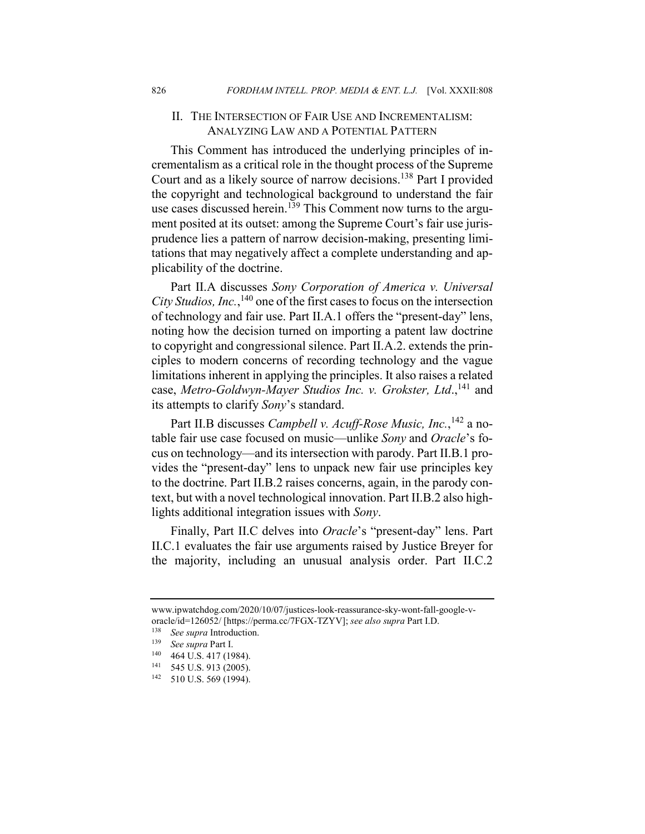## II. THE INTERSECTION OF FAIR USE AND INCREMENTALISM: ANALYZING LAW AND A POTENTIAL PATTERN

This Comment has introduced the underlying principles of incrementalism as a critical role in the thought process of the Supreme Court and as a likely source of narrow decisions.<sup>138</sup> Part I provided the copyright and technological background to understand the fair use cases discussed herein.<sup>139</sup> This Comment now turns to the argument posited at its outset: among the Supreme Court's fair use jurisprudence lies a pattern of narrow decision-making, presenting limitations that may negatively affect a complete understanding and applicability of the doctrine.

Part II.A discusses *Sony Corporation of America v. Universal City Studios, Inc.*,<sup>140</sup> one of the first cases to focus on the intersection of technology and fair use. Part II.A.1 offers the "present-day" lens, noting how the decision turned on importing a patent law doctrine to copyright and congressional silence. Part II.A.2. extends the principles to modern concerns of recording technology and the vague limitations inherent in applying the principles. It also raises a related case, *Metro-Goldwyn-Mayer Studios Inc. v. Grokster, Ltd.*,<sup>141</sup> and its attempts to clarify *Sony*'s standard.

Part II.B discusses *Campbell v. Acuff-Rose Music, Inc.*, <sup>142</sup> a notable fair use case focused on music—unlike *Sony* and *Oracle*'s focus on technology—and its intersection with parody. Part II.B.1 provides the "present-day" lens to unpack new fair use principles key to the doctrine. Part II.B.2 raises concerns, again, in the parody context, but with a novel technological innovation. Part II.B.2 also highlights additional integration issues with *Sony*.

Finally, Part II.C delves into *Oracle*'s "present-day" lens. Part II.C.1 evaluates the fair use arguments raised by Justice Breyer for the majority, including an unusual analysis order. Part II.C.2

www.ipwatchdog.com/2020/10/07/justices-look-reassurance-sky-wont-fall-google-voracle/id=126052/ [https://perma.cc/7FGX-TZYV]; *see also supra* Part I.D.

<sup>138</sup> *See supra* Introduction.

<sup>139</sup> *See supra* Part I.

 $140$  464 U.S. 417 (1984).

<sup>545</sup> U.S. 913 (2005).

<sup>142</sup> 510 U.S. 569 (1994).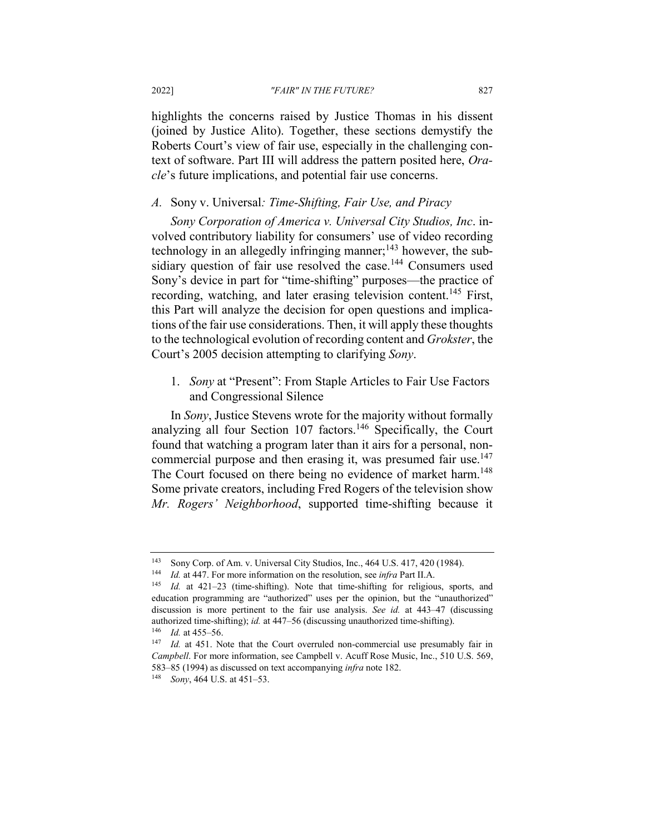highlights the concerns raised by Justice Thomas in his dissent (joined by Justice Alito). Together, these sections demystify the Roberts Court's view of fair use, especially in the challenging context of software. Part III will address the pattern posited here, *Oracle*'s future implications, and potential fair use concerns.

#### *A.* Sony v. Universal*: Time-Shifting, Fair Use, and Piracy*

*Sony Corporation of America v. Universal City Studios, Inc*. involved contributory liability for consumers' use of video recording technology in an allegedly infringing manner; $143$  however, the subsidiary question of fair use resolved the case.<sup>144</sup> Consumers used Sony's device in part for "time-shifting" purposes—the practice of recording, watching, and later erasing television content.<sup>145</sup> First, this Part will analyze the decision for open questions and implications of the fair use considerations. Then, it will apply these thoughts to the technological evolution of recording content and *Grokster*, the Court's 2005 decision attempting to clarifying *Sony*.

1. *Sony* at "Present": From Staple Articles to Fair Use Factors and Congressional Silence

In *Sony*, Justice Stevens wrote for the majority without formally analyzing all four Section  $107$  factors.<sup>146</sup> Specifically, the Court found that watching a program later than it airs for a personal, noncommercial purpose and then erasing it, was presumed fair use.<sup>147</sup> The Court focused on there being no evidence of market harm.<sup>148</sup> Some private creators, including Fred Rogers of the television show *Mr. Rogers' Neighborhood*, supported time-shifting because it

<sup>&</sup>lt;sup>143</sup> Sony Corp. of Am. v. Universal City Studios, Inc.,  $464$  U.S.  $417$ ,  $420$  (1984).<br><sup>144</sup> Id at  $447$  For more information on the resolution, see *infra* Part II A

*Id.* at 447. For more information on the resolution, see *infra* Part II.A.

<sup>145</sup> *Id.* at 421–23 (time-shifting). Note that time-shifting for religious, sports, and education programming are "authorized" uses per the opinion, but the "unauthorized" discussion is more pertinent to the fair use analysis. *See id.* at 443–47 (discussing authorized time-shifting); *id.* at 447–56 (discussing unauthorized time-shifting). <sup>146</sup> *Id.* at 455–56.

<sup>147</sup> *Id.* at 451. Note that the Court overruled non-commercial use presumably fair in *Campbell*. For more information, see Campbell v. Acuff Rose Music, Inc., 510 U.S. 569, 583–85 (1994) as discussed on text accompanying *infra* note 182.

<sup>148</sup> *Sony*, 464 U.S. at 451–53.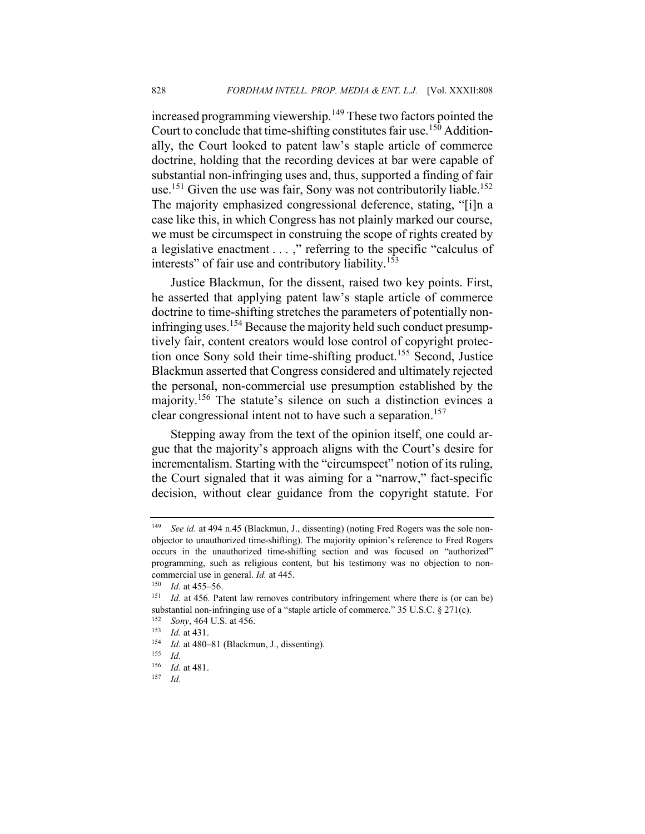increased programming viewership.<sup>149</sup> These two factors pointed the Court to conclude that time-shifting constitutes fair use.<sup>150</sup> Additionally, the Court looked to patent law's staple article of commerce doctrine, holding that the recording devices at bar were capable of substantial non-infringing uses and, thus, supported a finding of fair use.<sup>151</sup> Given the use was fair, Sony was not contributorily liable.<sup>152</sup> The majority emphasized congressional deference, stating, "[i]n a case like this, in which Congress has not plainly marked our course, we must be circumspect in construing the scope of rights created by a legislative enactment . . . ," referring to the specific "calculus of interests" of fair use and contributory liability.<sup>153</sup>

Justice Blackmun, for the dissent, raised two key points. First, he asserted that applying patent law's staple article of commerce doctrine to time-shifting stretches the parameters of potentially noninfringing uses.<sup>154</sup> Because the majority held such conduct presumptively fair, content creators would lose control of copyright protection once Sony sold their time-shifting product.<sup>155</sup> Second, Justice Blackmun asserted that Congress considered and ultimately rejected the personal, non-commercial use presumption established by the majority.<sup>156</sup> The statute's silence on such a distinction evinces a clear congressional intent not to have such a separation.<sup>157</sup>

Stepping away from the text of the opinion itself, one could argue that the majority's approach aligns with the Court's desire for incrementalism. Starting with the "circumspect" notion of its ruling, the Court signaled that it was aiming for a "narrow," fact-specific decision, without clear guidance from the copyright statute. For

<sup>149</sup> *See id.* at 494 n.45 (Blackmun, J., dissenting) (noting Fred Rogers was the sole nonobjector to unauthorized time-shifting). The majority opinion's reference to Fred Rogers occurs in the unauthorized time-shifting section and was focused on "authorized" programming, such as religious content, but his testimony was no objection to noncommercial use in general. *Id.* at 445.

 $\frac{150}{151}$  *Id.* at 455–56.

*Id.* at 456. Patent law removes contributory infringement where there is (or can be) substantial non-infringing use of a "staple article of commerce." 35 U.S.C. § 271(c).

 $^{152}$  *Sony*, 464 U.S. at 456.<br><sup>153</sup> *Id* at 431

 $\frac{153}{154}$  *Id.* at 431. <sup>154</sup> *Id.* at 480–81 (Blackmun, J., dissenting).

 $\frac{155}{156}$  *Id. Id.* at 481.

<sup>157</sup> *Id.*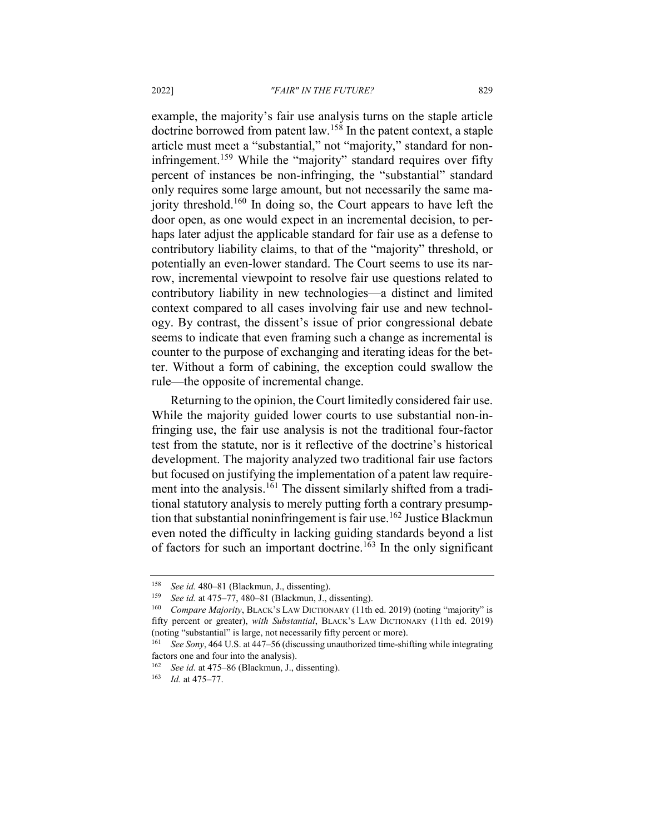example, the majority's fair use analysis turns on the staple article doctrine borrowed from patent law.<sup>158</sup> In the patent context, a staple article must meet a "substantial," not "majority," standard for noninfringement.<sup>159</sup> While the "majority" standard requires over fifty percent of instances be non-infringing, the "substantial" standard only requires some large amount, but not necessarily the same majority threshold.<sup>160</sup> In doing so, the Court appears to have left the door open, as one would expect in an incremental decision, to perhaps later adjust the applicable standard for fair use as a defense to contributory liability claims, to that of the "majority" threshold, or potentially an even-lower standard. The Court seems to use its narrow, incremental viewpoint to resolve fair use questions related to contributory liability in new technologies—a distinct and limited context compared to all cases involving fair use and new technology. By contrast, the dissent's issue of prior congressional debate seems to indicate that even framing such a change as incremental is counter to the purpose of exchanging and iterating ideas for the better. Without a form of cabining, the exception could swallow the rule—the opposite of incremental change.

Returning to the opinion, the Court limitedly considered fair use. While the majority guided lower courts to use substantial non-infringing use, the fair use analysis is not the traditional four-factor test from the statute, nor is it reflective of the doctrine's historical development. The majority analyzed two traditional fair use factors but focused on justifying the implementation of a patent law requirement into the analysis.<sup>161</sup> The dissent similarly shifted from a traditional statutory analysis to merely putting forth a contrary presumption that substantial noninfringement is fair use.<sup>162</sup> Justice Blackmun even noted the difficulty in lacking guiding standards beyond a list of factors for such an important doctrine.<sup>163</sup> In the only significant

<sup>158</sup> *See id.* 480–81 (Blackmun, J., dissenting).

See id. at 475–77, 480–81 (Blackmun, J., dissenting).

<sup>160</sup> *Compare Majority*, BLACK'S LAW DICTIONARY (11th ed. 2019) (noting "majority" is fifty percent or greater), *with Substantial*, BLACK'S LAW DICTIONARY (11th ed. 2019) (noting "substantial" is large, not necessarily fifty percent or more).

<sup>161</sup> *See Sony*, 464 U.S. at 447–56 (discussing unauthorized time-shifting while integrating factors one and four into the analysis).

<sup>162</sup> *See id*. at 475–86 (Blackmun, J., dissenting).

<sup>163</sup> *Id.* at 475–77.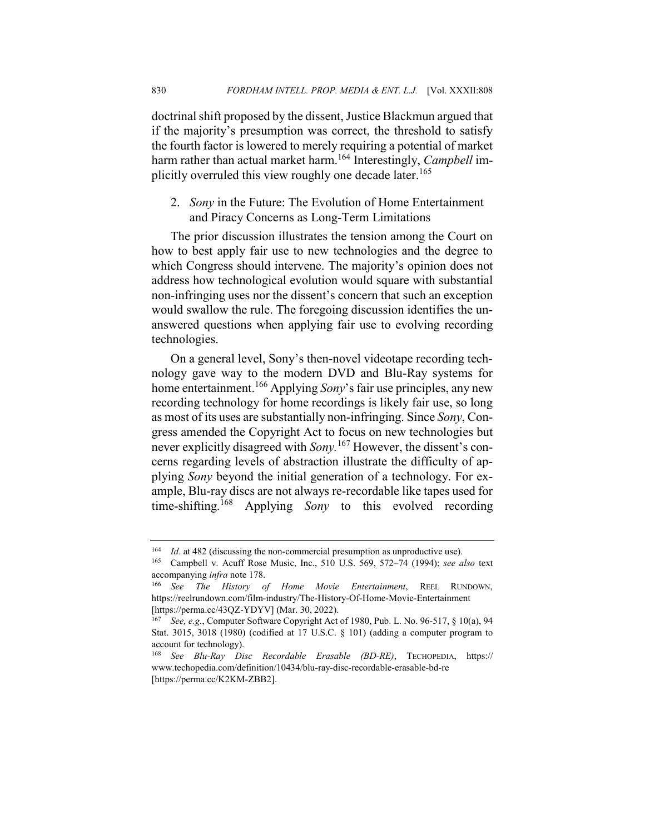doctrinal shift proposed by the dissent, Justice Blackmun argued that if the majority's presumption was correct, the threshold to satisfy the fourth factor is lowered to merely requiring a potential of market harm rather than actual market harm.<sup>164</sup> Interestingly, *Campbell* implicitly overruled this view roughly one decade later.<sup>165</sup>

2. *Sony* in the Future: The Evolution of Home Entertainment and Piracy Concerns as Long-Term Limitations

The prior discussion illustrates the tension among the Court on how to best apply fair use to new technologies and the degree to which Congress should intervene. The majority's opinion does not address how technological evolution would square with substantial non-infringing uses nor the dissent's concern that such an exception would swallow the rule. The foregoing discussion identifies the unanswered questions when applying fair use to evolving recording technologies.

On a general level, Sony's then-novel videotape recording technology gave way to the modern DVD and Blu-Ray systems for home entertainment.<sup>166</sup> Applying *Sony*'s fair use principles, any new recording technology for home recordings is likely fair use, so long as most of its uses are substantially non-infringing. Since *Sony*, Congress amended the Copyright Act to focus on new technologies but never explicitly disagreed with *Sony.*<sup>167</sup> However, the dissent's concerns regarding levels of abstraction illustrate the difficulty of applying *Sony* beyond the initial generation of a technology. For example, Blu-ray discs are not always re-recordable like tapes used for time-shifting.<sup>168</sup> Applying *Sony* to this evolved recording

<sup>164</sup> *Id.* at 482 (discussing the non-commercial presumption as unproductive use).

<sup>165</sup> Campbell v. Acuff Rose Music, Inc., 510 U.S. 569, 572–74 (1994); *see also* text accompanying *infra* note 178.

<sup>166</sup> *See The History of Home Movie Entertainment*, REEL RUNDOWN, https://reelrundown.com/film-industry/The-History-Of-Home-Movie-Entertainment [https://perma.cc/43QZ-YDYV] (Mar. 30, 2022).

<sup>167</sup> *See, e.g.*, Computer Software Copyright Act of 1980, Pub. L. No. 96-517, § 10(a), 94 Stat. 3015, 3018 (1980) (codified at 17 U.S.C. § 101) (adding a computer program to account for technology).

<sup>168</sup> *See Blu-Ray Disc Recordable Erasable (BD-RE)*, TECHOPEDIA, https:// www.techopedia.com/definition/10434/blu-ray-disc-recordable-erasable-bd-re [https://perma.cc/K2KM-ZBB2].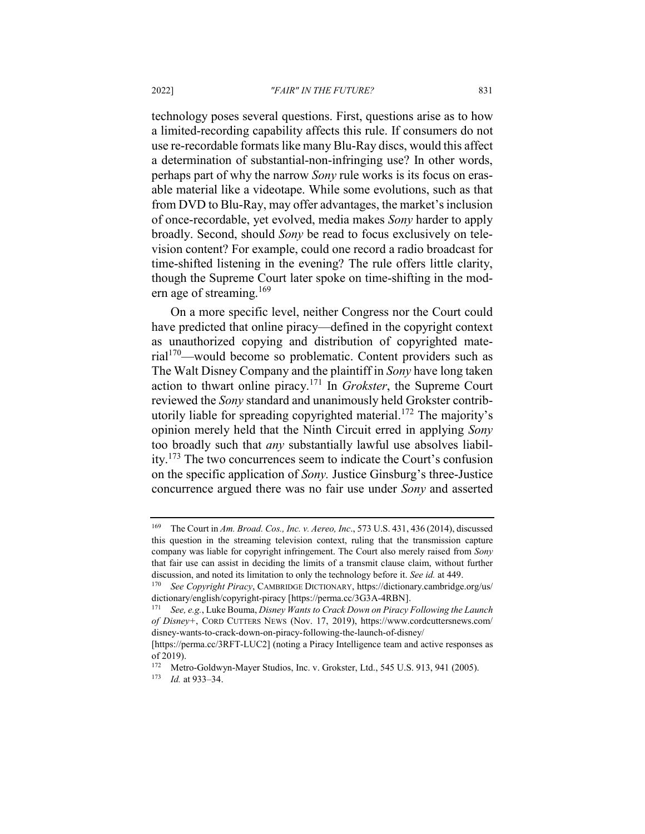technology poses several questions. First, questions arise as to how a limited-recording capability affects this rule. If consumers do not use re-recordable formats like many Blu-Ray discs, would this affect a determination of substantial-non-infringing use? In other words, perhaps part of why the narrow *Sony* rule works is its focus on erasable material like a videotape. While some evolutions, such as that from DVD to Blu-Ray, may offer advantages, the market's inclusion of once-recordable, yet evolved, media makes *Sony* harder to apply broadly. Second, should *Sony* be read to focus exclusively on television content? For example, could one record a radio broadcast for time-shifted listening in the evening? The rule offers little clarity, though the Supreme Court later spoke on time-shifting in the modern age of streaming. $169$ 

On a more specific level, neither Congress nor the Court could have predicted that online piracy—defined in the copyright context as unauthorized copying and distribution of copyrighted mate- $\text{rial}^{170}$ —would become so problematic. Content providers such as The Walt Disney Company and the plaintiff in *Sony* have long taken action to thwart online piracy.<sup>171</sup> In *Grokster*, the Supreme Court reviewed the *Sony* standard and unanimously held Grokster contributorily liable for spreading copyrighted material.<sup>172</sup> The majority's opinion merely held that the Ninth Circuit erred in applying *Sony* too broadly such that *any* substantially lawful use absolves liability.<sup>173</sup> The two concurrences seem to indicate the Court's confusion on the specific application of *Sony.* Justice Ginsburg's three-Justice concurrence argued there was no fair use under *Sony* and asserted

<sup>169</sup> The Court in *Am. Broad. Cos., Inc. v. Aereo, Inc*., 573 U.S. 431, 436 (2014), discussed this question in the streaming television context, ruling that the transmission capture company was liable for copyright infringement. The Court also merely raised from *Sony* that fair use can assist in deciding the limits of a transmit clause claim, without further discussion, and noted its limitation to only the technology before it. *See id.* at 449.

<sup>170</sup> *See Copyright Piracy*, CAMBRIDGE DICTIONARY, https://dictionary.cambridge.org/us/ dictionary/english/copyright-piracy [https://perma.cc/3G3A-4RBN].

<sup>171</sup> *See, e.g.*, Luke Bouma, *Disney Wants to Crack Down on Piracy Following the Launch of Disney+*, CORD CUTTERS NEWS (Nov. 17, 2019), https://www.cordcuttersnews.com/ disney-wants-to-crack-down-on-piracy-following-the-launch-of-disney/

<sup>[</sup>https://perma.cc/3RFT-LUC2] (noting a Piracy Intelligence team and active responses as of 2019).

<sup>172</sup> Metro-Goldwyn-Mayer Studios, Inc. v. Grokster, Ltd., 545 U.S. 913, 941 (2005).

<sup>173</sup> *Id.* at 933–34.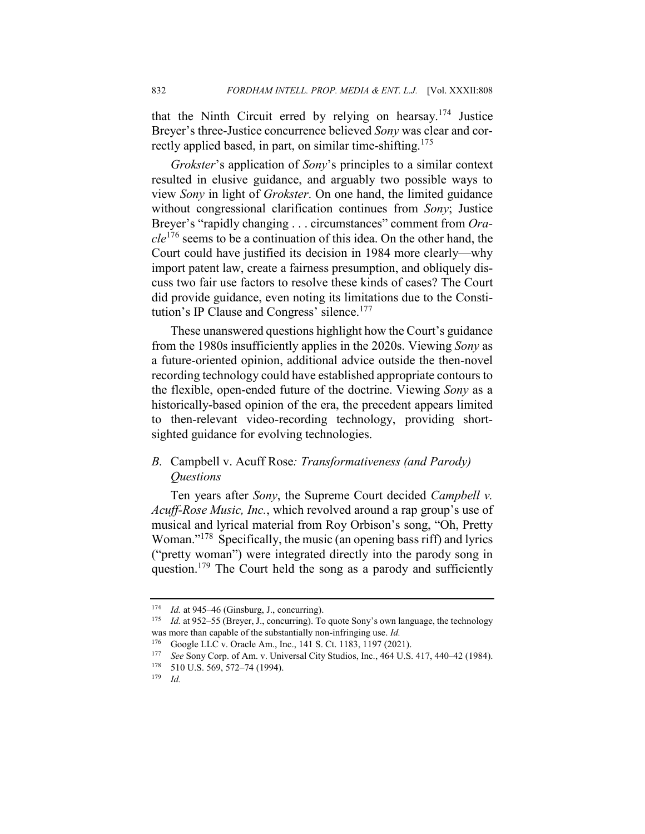that the Ninth Circuit erred by relying on hearsay.<sup>174</sup> Justice Breyer's three-Justice concurrence believed *Sony* was clear and correctly applied based, in part, on similar time-shifting.<sup>175</sup>

*Grokster*'s application of *Sony*'s principles to a similar context resulted in elusive guidance, and arguably two possible ways to view *Sony* in light of *Grokster*. On one hand, the limited guidance without congressional clarification continues from *Sony*; Justice Breyer's "rapidly changing . . . circumstances" comment from *Oracle*<sup>176</sup> seems to be a continuation of this idea. On the other hand, the Court could have justified its decision in 1984 more clearly—why import patent law, create a fairness presumption, and obliquely discuss two fair use factors to resolve these kinds of cases? The Court did provide guidance, even noting its limitations due to the Constitution's IP Clause and Congress' silence.<sup>177</sup>

These unanswered questions highlight how the Court's guidance from the 1980s insufficiently applies in the 2020s. Viewing *Sony* as a future-oriented opinion, additional advice outside the then-novel recording technology could have established appropriate contours to the flexible, open-ended future of the doctrine. Viewing *Sony* as a historically-based opinion of the era, the precedent appears limited to then-relevant video-recording technology, providing shortsighted guidance for evolving technologies.

## *B.* Campbell v. Acuff Rose*: Transformativeness (and Parody) Questions*

Ten years after *Sony*, the Supreme Court decided *Campbell v. Acuff-Rose Music, Inc.*, which revolved around a rap group's use of musical and lyrical material from Roy Orbison's song, "Oh, Pretty Woman."<sup>178</sup> Specifically, the music (an opening bass riff) and lyrics ("pretty woman") were integrated directly into the parody song in question.<sup>179</sup> The Court held the song as a parody and sufficiently

<sup>174</sup> *Id.* at 945–46 (Ginsburg, J., concurring).

<sup>&</sup>lt;sup>175</sup> *Id.* at 952–55 (Breyer, J., concurring). To quote Sony's own language, the technology was more than capable of the substantially non-infringing use. *Id.*

<sup>&</sup>lt;sup>176</sup> Google LLC v. Oracle Am., Inc., 141 S. Ct. 1183, 1197 (2021).<br><sup>177</sup> See Sony Corp. of Am. y. Universal City Studies, Inc., 464 U.S.

<sup>177</sup> *See* Sony Corp. of Am. v. Universal City Studios, Inc., 464 U.S. 417, 440–42 (1984).<br>178 510 U.S. 569 572–74 (1994)

<sup>510</sup> U.S. 569, 572–74 (1994).

<sup>179</sup> *Id.*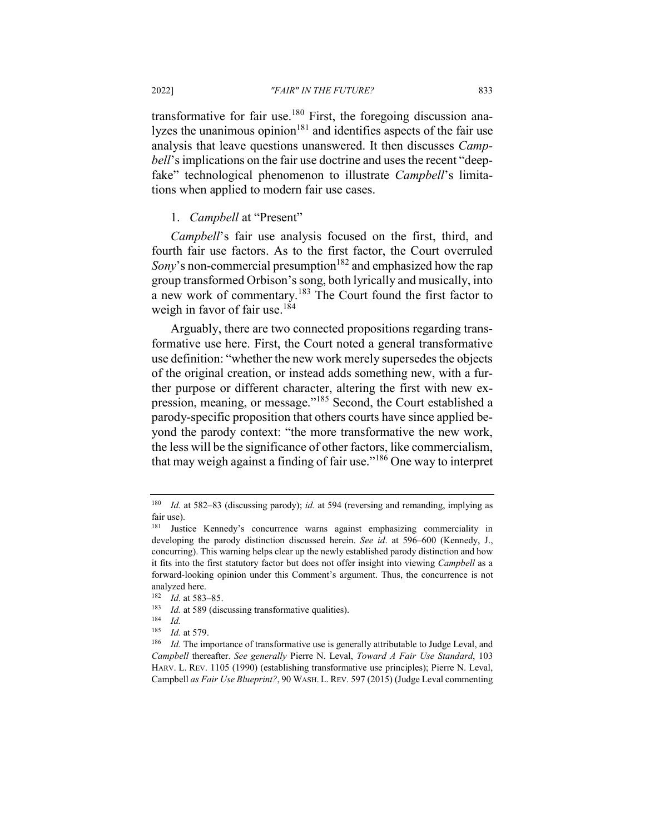transformative for fair use.<sup>180</sup> First, the foregoing discussion analyzes the unanimous opinion $181$  and identifies aspects of the fair use analysis that leave questions unanswered. It then discusses *Campbell*'s implications on the fair use doctrine and uses the recent "deepfake" technological phenomenon to illustrate *Campbell*'s limitations when applied to modern fair use cases.

## 1. *Campbell* at "Present"

*Campbell*'s fair use analysis focused on the first, third, and fourth fair use factors. As to the first factor, the Court overruled *Sony*'s non-commercial presumption<sup>182</sup> and emphasized how the rap group transformed Orbison's song, both lyrically and musically, into a new work of commentary.<sup>183</sup> The Court found the first factor to weigh in favor of fair use.<sup>184</sup>

Arguably, there are two connected propositions regarding transformative use here. First, the Court noted a general transformative use definition: "whether the new work merely supersedes the objects of the original creation, or instead adds something new, with a further purpose or different character, altering the first with new expression, meaning, or message."<sup>185</sup> Second, the Court established a parody-specific proposition that others courts have since applied beyond the parody context: "the more transformative the new work, the less will be the significance of other factors, like commercialism, that may weigh against a finding of fair use."<sup>186</sup> One way to interpret

<sup>180</sup> *Id.* at 582–83 (discussing parody); *id.* at 594 (reversing and remanding, implying as fair use).

<sup>181</sup> Justice Kennedy's concurrence warns against emphasizing commerciality in developing the parody distinction discussed herein. *See id*. at 596–600 (Kennedy, J., concurring). This warning helps clear up the newly established parody distinction and how it fits into the first statutory factor but does not offer insight into viewing *Campbell* as a forward-looking opinion under this Comment's argument. Thus, the concurrence is not analyzed here.

<sup>182</sup> *Id*. at 583–85.

<sup>&</sup>lt;sup>183</sup> *Id.* at 589 (discussing transformative qualities).

 $\frac{184}{185}$  *Id.* 

*Id.* at 579.

<sup>&</sup>lt;sup>186</sup> *Id.* The importance of transformative use is generally attributable to Judge Leval, and *Campbell* thereafter. *See generally* Pierre N. Leval, *Toward A Fair Use Standard*, 103 HARV. L. REV. 1105 (1990) (establishing transformative use principles); Pierre N. Leval, Campbell *as Fair Use Blueprint?*, 90 WASH. L. REV. 597 (2015) (Judge Leval commenting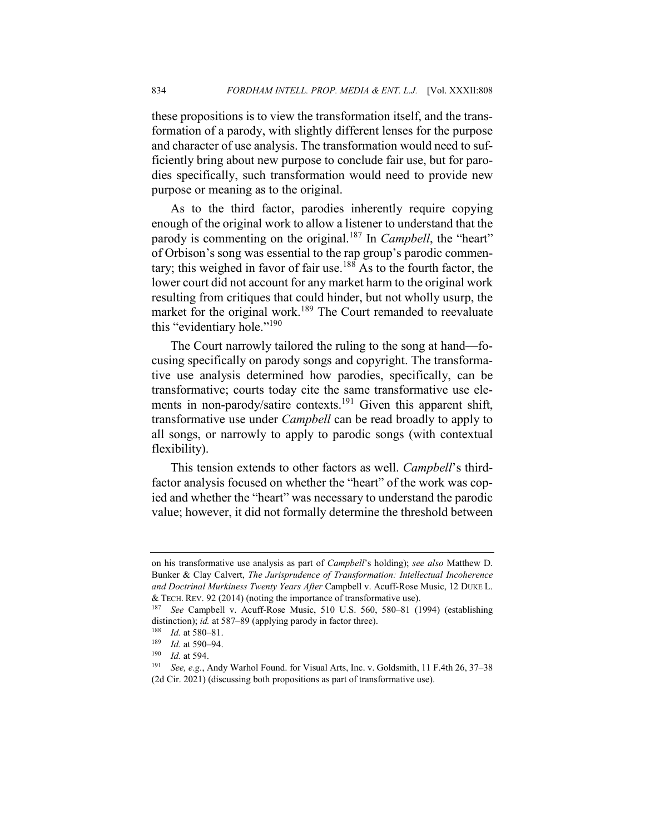these propositions is to view the transformation itself, and the transformation of a parody, with slightly different lenses for the purpose and character of use analysis. The transformation would need to sufficiently bring about new purpose to conclude fair use, but for parodies specifically, such transformation would need to provide new purpose or meaning as to the original.

As to the third factor, parodies inherently require copying enough of the original work to allow a listener to understand that the parody is commenting on the original.<sup>187</sup> In *Campbell*, the "heart" of Orbison's song was essential to the rap group's parodic commentary; this weighed in favor of fair use.<sup>188</sup> As to the fourth factor, the lower court did not account for any market harm to the original work resulting from critiques that could hinder, but not wholly usurp, the market for the original work.<sup>189</sup> The Court remanded to reevaluate this "evidentiary hole."<sup>190</sup>

The Court narrowly tailored the ruling to the song at hand—focusing specifically on parody songs and copyright. The transformative use analysis determined how parodies, specifically, can be transformative; courts today cite the same transformative use elements in non-parody/satire contexts.<sup>191</sup> Given this apparent shift, transformative use under *Campbell* can be read broadly to apply to all songs, or narrowly to apply to parodic songs (with contextual flexibility).

This tension extends to other factors as well. *Campbell*'s thirdfactor analysis focused on whether the "heart" of the work was copied and whether the "heart" was necessary to understand the parodic value; however, it did not formally determine the threshold between

on his transformative use analysis as part of *Campbell*'s holding); *see also* Matthew D. Bunker & Clay Calvert, *The Jurisprudence of Transformation: Intellectual Incoherence and Doctrinal Murkiness Twenty Years After* Campbell v. Acuff-Rose Music, 12 DUKE L. & TECH. REV. 92 (2014) (noting the importance of transformative use).

<sup>187</sup> *See* Campbell v. Acuff-Rose Music, 510 U.S. 560, 580–81 (1994) (establishing distinction); *id.* at 587–89 (applying parody in factor three).

<sup>188</sup> *Id.* at 580–81.

 $\frac{189}{190}$  *Id.* at 590–94.

*Id.* at 594.

<sup>191</sup> *See, e.g.*, Andy Warhol Found. for Visual Arts, Inc. v. Goldsmith, 11 F.4th 26, 37–38 (2d Cir. 2021) (discussing both propositions as part of transformative use).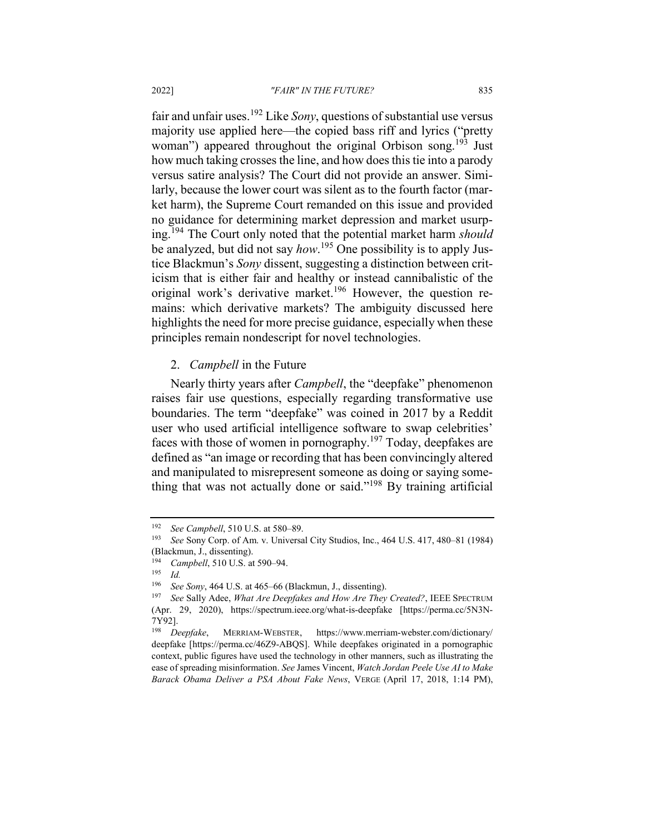fair and unfair uses.<sup>192</sup> Like *Sony*, questions of substantial use versus majority use applied here—the copied bass riff and lyrics ("pretty woman") appeared throughout the original Orbison song.<sup>193</sup> Just how much taking crosses the line, and how does this tie into a parody versus satire analysis? The Court did not provide an answer. Similarly, because the lower court was silent as to the fourth factor (market harm), the Supreme Court remanded on this issue and provided no guidance for determining market depression and market usurping.<sup>194</sup> The Court only noted that the potential market harm *should* be analyzed, but did not say *how*. <sup>195</sup> One possibility is to apply Justice Blackmun's *Sony* dissent, suggesting a distinction between criticism that is either fair and healthy or instead cannibalistic of the original work's derivative market.<sup>196</sup> However, the question remains: which derivative markets? The ambiguity discussed here highlights the need for more precise guidance, especially when these principles remain nondescript for novel technologies.

## 2. *Campbell* in the Future

Nearly thirty years after *Campbell*, the "deepfake" phenomenon raises fair use questions, especially regarding transformative use boundaries. The term "deepfake" was coined in 2017 by a Reddit user who used artificial intelligence software to swap celebrities' faces with those of women in pornography.<sup>197</sup> Today, deepfakes are defined as "an image or recording that has been convincingly altered and manipulated to misrepresent someone as doing or saying something that was not actually done or said."<sup>198</sup> By training artificial

<sup>192</sup> *See Campbell*, 510 U.S. at 580–89.

<sup>193</sup> *See* Sony Corp. of Am. v. Universal City Studios, Inc., 464 U.S. 417, 480–81 (1984) (Blackmun, J., dissenting).<br> $194$  Campbell 510 U.S. at

<sup>&</sup>lt;sup>194</sup> *Campbell*, 510 U.S. at 590–94.<br><sup>195</sup> *Id* 

*Id.* 

<sup>196</sup> *See Sony*, 464 U.S. at 465–66 (Blackmun, J., dissenting).

<sup>197</sup> *See* Sally Adee, *What Are Deepfakes and How Are They Created?*, IEEE SPECTRUM (Apr. 29, 2020), https://spectrum.ieee.org/what-is-deepfake [https://perma.cc/5N3N- $7Y92$ ].<br><sup>198</sup> Deepfake,

<sup>198</sup> *Deepfake*, MERRIAM-WEBSTER, https://www.merriam-webster.com/dictionary/ deepfake [https://perma.cc/46Z9-ABQS]. While deepfakes originated in a pornographic context, public figures have used the technology in other manners, such as illustrating the ease of spreading misinformation. *See* James Vincent, *Watch Jordan Peele Use AI to Make Barack Obama Deliver a PSA About Fake News*, VERGE (April 17, 2018, 1:14 PM),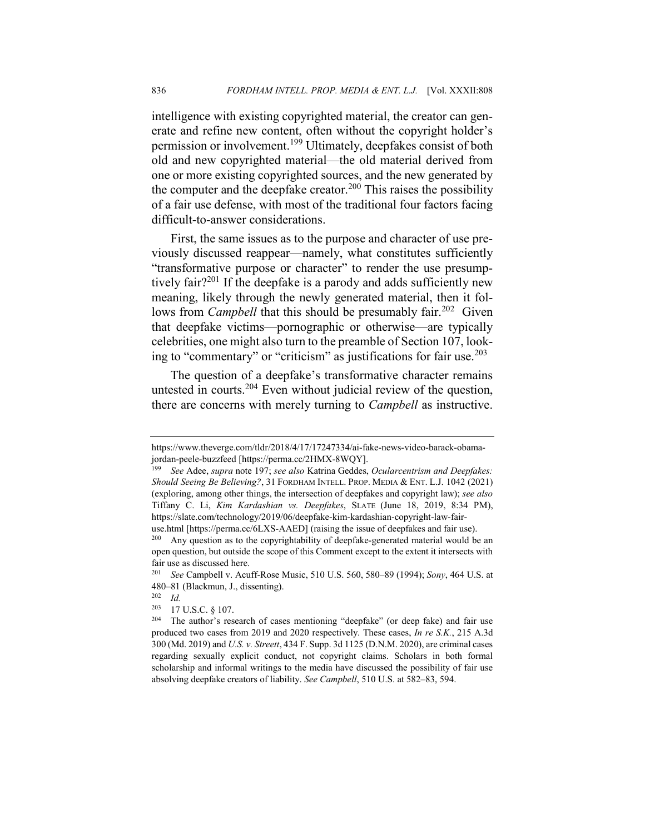intelligence with existing copyrighted material, the creator can generate and refine new content, often without the copyright holder's permission or involvement.<sup>199</sup> Ultimately, deepfakes consist of both old and new copyrighted material—the old material derived from one or more existing copyrighted sources, and the new generated by the computer and the deepfake creator.<sup>200</sup> This raises the possibility of a fair use defense, with most of the traditional four factors facing difficult-to-answer considerations.

First, the same issues as to the purpose and character of use previously discussed reappear—namely, what constitutes sufficiently "transformative purpose or character" to render the use presumptively fair?<sup>201</sup> If the deepfake is a parody and adds sufficiently new meaning, likely through the newly generated material, then it follows from *Campbell* that this should be presumably fair.<sup>202</sup> Given that deepfake victims—pornographic or otherwise—are typically celebrities, one might also turn to the preamble of Section 107, looking to "commentary" or "criticism" as justifications for fair use. $203$ 

The question of a deepfake's transformative character remains untested in courts.<sup>204</sup> Even without judicial review of the question, there are concerns with merely turning to *Campbell* as instructive.

https://www.theverge.com/tldr/2018/4/17/17247334/ai-fake-news-video-barack-obamajordan-peele-buzzfeed [https://perma.cc/2HMX-8WQY].

<sup>199</sup> *See* Adee, *supra* note 197; *see also* Katrina Geddes, *Ocularcentrism and Deepfakes: Should Seeing Be Believing?*, 31 FORDHAM INTELL. PROP. MEDIA & ENT. L.J. 1042 (2021) (exploring, among other things, the intersection of deepfakes and copyright law); *see also*  Tiffany C. Li, *Kim Kardashian vs. Deepfakes*, SLATE (June 18, 2019, 8:34 PM), https://slate.com/technology/2019/06/deepfake-kim-kardashian-copyright-law-fair-

use.html [https://perma.cc/6LXS-AAED] (raising the issue of deepfakes and fair use).

Any question as to the copyrightability of deepfake-generated material would be an open question, but outside the scope of this Comment except to the extent it intersects with fair use as discussed here.<br> $^{201}$  See Campbell v Acu

<sup>201</sup> *See* Campbell v. Acuff-Rose Music, 510 U.S. 560, 580–89 (1994); *Sony*, 464 U.S. at 480–81 (Blackmun, J., dissenting).<br> $^{202}$   $H<sub>d</sub>$ 

*Id.* 

<sup>203</sup> 17 U.S.C. § 107.

<sup>204</sup> The author's research of cases mentioning "deepfake" (or deep fake) and fair use produced two cases from 2019 and 2020 respectively. These cases, *In re S.K.*, 215 A.3d 300 (Md. 2019) and *U.S. v. Streett*, 434 F. Supp. 3d 1125 (D.N.M. 2020), are criminal cases regarding sexually explicit conduct, not copyright claims. Scholars in both formal scholarship and informal writings to the media have discussed the possibility of fair use absolving deepfake creators of liability. *See Campbell*, 510 U.S. at 582–83, 594.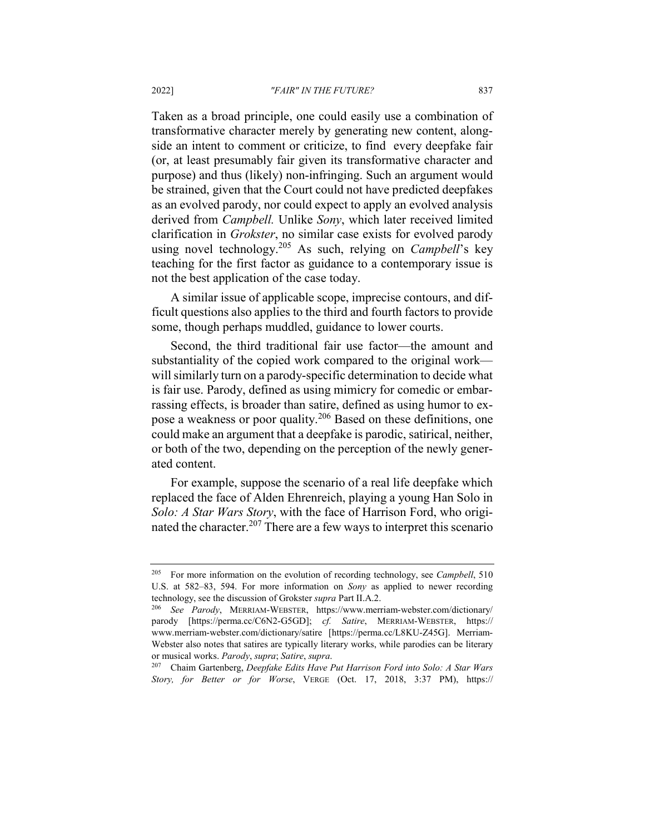#### 2022] *"FAIR" IN THE FUTURE?* 837

Taken as a broad principle, one could easily use a combination of transformative character merely by generating new content, alongside an intent to comment or criticize, to find every deepfake fair (or, at least presumably fair given its transformative character and purpose) and thus (likely) non-infringing. Such an argument would be strained, given that the Court could not have predicted deepfakes as an evolved parody, nor could expect to apply an evolved analysis derived from *Campbell.* Unlike *Sony*, which later received limited clarification in *Grokster*, no similar case exists for evolved parody using novel technology.<sup>205</sup> As such, relying on *Campbell*'s key teaching for the first factor as guidance to a contemporary issue is not the best application of the case today.

A similar issue of applicable scope, imprecise contours, and difficult questions also applies to the third and fourth factors to provide some, though perhaps muddled, guidance to lower courts.

Second, the third traditional fair use factor—the amount and substantiality of the copied work compared to the original work will similarly turn on a parody-specific determination to decide what is fair use. Parody, defined as using mimicry for comedic or embarrassing effects, is broader than satire, defined as using humor to expose a weakness or poor quality.<sup>206</sup> Based on these definitions, one could make an argument that a deepfake is parodic, satirical, neither, or both of the two, depending on the perception of the newly generated content.

For example, suppose the scenario of a real life deepfake which replaced the face of Alden Ehrenreich, playing a young Han Solo in *Solo: A Star Wars Story*, with the face of Harrison Ford, who originated the character.<sup>207</sup> There are a few ways to interpret this scenario

<sup>205</sup> For more information on the evolution of recording technology, see *Campbell*, 510 U.S. at 582–83, 594. For more information on *Sony* as applied to newer recording technology, see the discussion of Grokster *supra* Part II.A.2.

<sup>206</sup> *See Parody*, MERRIAM-WEBSTER, https://www.merriam-webster.com/dictionary/ parody [https://perma.cc/C6N2-G5GD]; *cf. Satire*, MERRIAM-WEBSTER, https:// www.merriam-webster.com/dictionary/satire [https://perma.cc/L8KU-Z45G]. Merriam-Webster also notes that satires are typically literary works, while parodies can be literary or musical works. *Parody*, *supra*; *Satire*, *supra*.

<sup>207</sup> Chaim Gartenberg, *Deepfake Edits Have Put Harrison Ford into Solo: A Star Wars Story, for Better or for Worse*, VERGE (Oct. 17, 2018, 3:37 PM), https://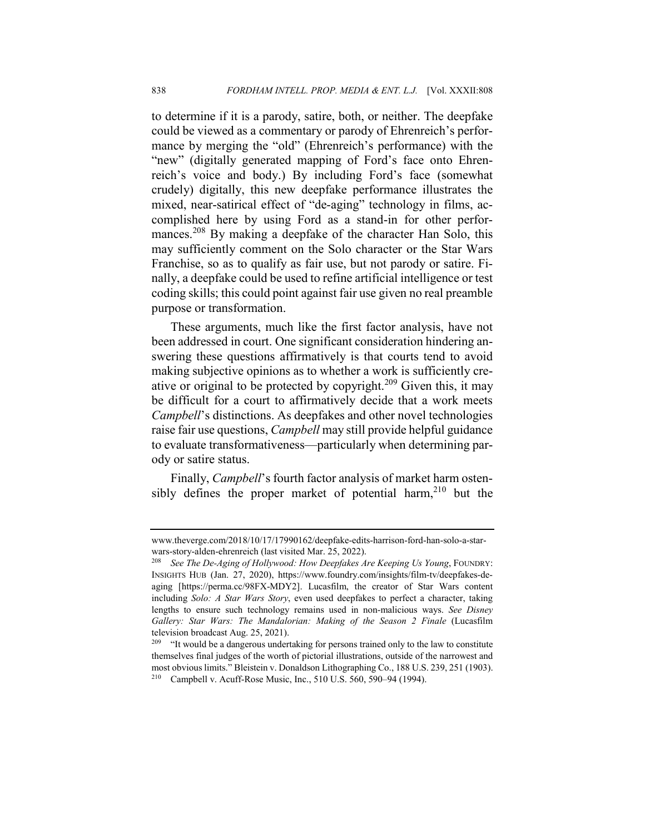to determine if it is a parody, satire, both, or neither. The deepfake could be viewed as a commentary or parody of Ehrenreich's performance by merging the "old" (Ehrenreich's performance) with the "new" (digitally generated mapping of Ford's face onto Ehrenreich's voice and body.) By including Ford's face (somewhat crudely) digitally, this new deepfake performance illustrates the mixed, near-satirical effect of "de-aging" technology in films, accomplished here by using Ford as a stand-in for other performances.<sup>208</sup> By making a deepfake of the character Han Solo, this may sufficiently comment on the Solo character or the Star Wars Franchise, so as to qualify as fair use, but not parody or satire. Finally, a deepfake could be used to refine artificial intelligence or test coding skills; this could point against fair use given no real preamble purpose or transformation.

These arguments, much like the first factor analysis, have not been addressed in court. One significant consideration hindering answering these questions affirmatively is that courts tend to avoid making subjective opinions as to whether a work is sufficiently creative or original to be protected by copyright.<sup>209</sup> Given this, it may be difficult for a court to affirmatively decide that a work meets *Campbell*'s distinctions. As deepfakes and other novel technologies raise fair use questions, *Campbell* may still provide helpful guidance to evaluate transformativeness—particularly when determining parody or satire status.

Finally, *Campbell*'s fourth factor analysis of market harm ostensibly defines the proper market of potential harm,<sup>210</sup> but the

www.theverge.com/2018/10/17/17990162/deepfake-edits-harrison-ford-han-solo-a-starwars-story-alden-ehrenreich (last visited Mar. 25, 2022).

<sup>208</sup> *See The De-Aging of Hollywood: How Deepfakes Are Keeping Us Young*, FOUNDRY: INSIGHTS HUB (Jan. 27, 2020), https://www.foundry.com/insights/film-tv/deepfakes-deaging [https://perma.cc/98FX-MDY2]. Lucasfilm, the creator of Star Wars content including *Solo: A Star Wars Story*, even used deepfakes to perfect a character, taking lengths to ensure such technology remains used in non-malicious ways. *See Disney Gallery: Star Wars: The Mandalorian: Making of the Season 2 Finale* (Lucasfilm television broadcast Aug. 25, 2021).

<sup>&</sup>lt;sup>209</sup> "It would be a dangerous undertaking for persons trained only to the law to constitute themselves final judges of the worth of pictorial illustrations, outside of the narrowest and most obvious limits." Bleistein v. Donaldson Lithographing Co., 188 U.S. 239, 251 (1903). <sup>210</sup> Campbell v. Acuff-Rose Music, Inc., 510 U.S. 560, 590–94 (1994).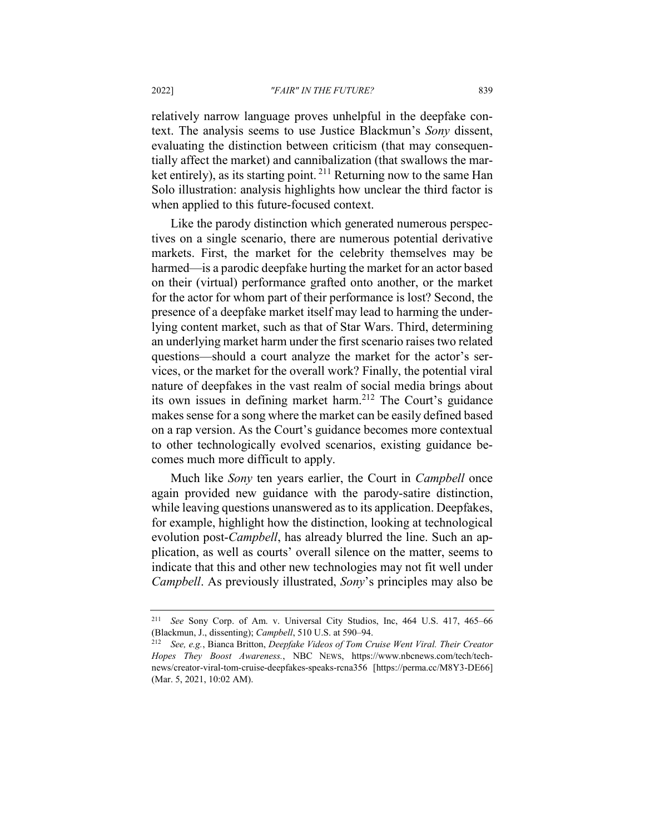relatively narrow language proves unhelpful in the deepfake context. The analysis seems to use Justice Blackmun's *Sony* dissent, evaluating the distinction between criticism (that may consequentially affect the market) and cannibalization (that swallows the market entirely), as its starting point.  $^{211}$  Returning now to the same Han Solo illustration: analysis highlights how unclear the third factor is when applied to this future-focused context.

Like the parody distinction which generated numerous perspectives on a single scenario, there are numerous potential derivative markets. First, the market for the celebrity themselves may be harmed—is a parodic deepfake hurting the market for an actor based on their (virtual) performance grafted onto another, or the market for the actor for whom part of their performance is lost? Second, the presence of a deepfake market itself may lead to harming the underlying content market, such as that of Star Wars. Third, determining an underlying market harm under the first scenario raises two related questions—should a court analyze the market for the actor's services, or the market for the overall work? Finally, the potential viral nature of deepfakes in the vast realm of social media brings about its own issues in defining market harm.<sup>212</sup> The Court's guidance makes sense for a song where the market can be easily defined based on a rap version. As the Court's guidance becomes more contextual to other technologically evolved scenarios, existing guidance becomes much more difficult to apply.

Much like *Sony* ten years earlier, the Court in *Campbell* once again provided new guidance with the parody-satire distinction, while leaving questions unanswered as to its application. Deepfakes, for example, highlight how the distinction, looking at technological evolution post-*Campbell*, has already blurred the line. Such an application, as well as courts' overall silence on the matter, seems to indicate that this and other new technologies may not fit well under *Campbell*. As previously illustrated, *Sony*'s principles may also be

<sup>211</sup> *See* Sony Corp. of Am. v. Universal City Studios, Inc, 464 U.S. 417, 465–66 (Blackmun, J., dissenting); *Campbell*, 510 U.S. at 590–94.

<sup>212</sup> *See, e.g.*, Bianca Britton, *Deepfake Videos of Tom Cruise Went Viral. Their Creator Hopes They Boost Awareness.*, NBC NEWS, https://www.nbcnews.com/tech/technews/creator-viral-tom-cruise-deepfakes-speaks-rcna356 [https://perma.cc/M8Y3-DE66] (Mar. 5, 2021, 10:02 AM).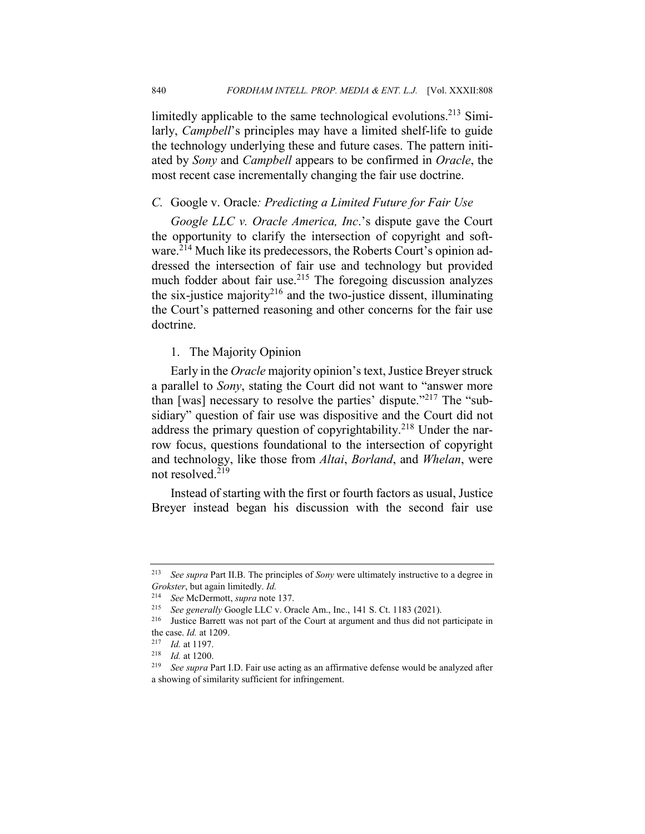limitedly applicable to the same technological evolutions.<sup>213</sup> Similarly, *Campbell*'s principles may have a limited shelf-life to guide the technology underlying these and future cases. The pattern initiated by *Sony* and *Campbell* appears to be confirmed in *Oracle*, the most recent case incrementally changing the fair use doctrine.

### *C.* Google v. Oracle*: Predicting a Limited Future for Fair Use*

*Google LLC v. Oracle America, Inc*.'s dispute gave the Court the opportunity to clarify the intersection of copyright and software.<sup>214</sup> Much like its predecessors, the Roberts Court's opinion addressed the intersection of fair use and technology but provided much fodder about fair use. $2^{15}$  The foregoing discussion analyzes the six-justice majority<sup>216</sup> and the two-justice dissent, illuminating the Court's patterned reasoning and other concerns for the fair use doctrine.

## 1. The Majority Opinion

Early in the *Oracle* majority opinion's text, Justice Breyer struck a parallel to *Sony*, stating the Court did not want to "answer more than [was] necessary to resolve the parties' dispute."<sup>217</sup> The "subsidiary" question of fair use was dispositive and the Court did not address the primary question of copyrightability.<sup>218</sup> Under the narrow focus, questions foundational to the intersection of copyright and technology, like those from *Altai*, *Borland*, and *Whelan*, were not resolved.<sup>219</sup>

Instead of starting with the first or fourth factors as usual, Justice Breyer instead began his discussion with the second fair use

<sup>213</sup> *See supra* Part II.B. The principles of *Sony* were ultimately instructive to a degree in *Grokster*, but again limitedly. *Id.*

<sup>214</sup> *See* McDermott, *supra* note 137.

<sup>215</sup> *See generally* Google LLC v. Oracle Am., Inc., 141 S. Ct. 1183 (2021).

<sup>216</sup> Justice Barrett was not part of the Court at argument and thus did not participate in the case. *Id.* at 1209.

<sup>217</sup> *Id.* at 1197.

<sup>&</sup>lt;sup>218</sup> *Id.* at 1200.<br><sup>219</sup> *See supra* P

See supra Part I.D. Fair use acting as an affirmative defense would be analyzed after a showing of similarity sufficient for infringement.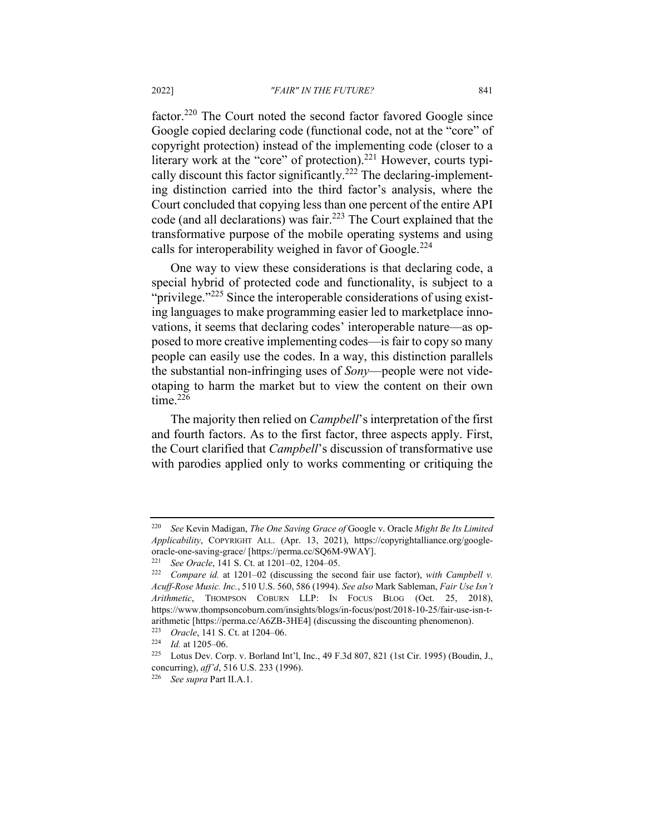factor.<sup>220</sup> The Court noted the second factor favored Google since Google copied declaring code (functional code, not at the "core" of copyright protection) instead of the implementing code (closer to a literary work at the "core" of protection).<sup>221</sup> However, courts typically discount this factor significantly.<sup>222</sup> The declaring-implementing distinction carried into the third factor's analysis, where the Court concluded that copying less than one percent of the entire API code (and all declarations) was fair.<sup>223</sup> The Court explained that the transformative purpose of the mobile operating systems and using calls for interoperability weighed in favor of Google.<sup>224</sup>

One way to view these considerations is that declaring code, a special hybrid of protected code and functionality, is subject to a "privilege."<sup>225</sup> Since the interoperable considerations of using existing languages to make programming easier led to marketplace innovations, it seems that declaring codes' interoperable nature—as opposed to more creative implementing codes—is fair to copy so many people can easily use the codes. In a way, this distinction parallels the substantial non-infringing uses of *Sony*—people were not videotaping to harm the market but to view the content on their own time. $226$ 

The majority then relied on *Campbell*'s interpretation of the first and fourth factors. As to the first factor, three aspects apply. First, the Court clarified that *Campbell*'s discussion of transformative use with parodies applied only to works commenting or critiquing the

<sup>220</sup> *See* Kevin Madigan, *The One Saving Grace of* Google v. Oracle *Might Be Its Limited Applicability*, COPYRIGHT ALL. (Apr. 13, 2021), https://copyrightalliance.org/googleoracle-one-saving-grace/ [https://perma.cc/SQ6M-9WAY].

<sup>221</sup> *See Oracle*, 141 S. Ct. at 1201–02, 1204–05.

<sup>222</sup> *Compare id.* at 1201–02 (discussing the second fair use factor), *with Campbell v. Acuff-Rose Music. Inc.*, 510 U.S. 560, 586 (1994). *See also* Mark Sableman, *Fair Use Isn't Arithmetic*, THOMPSON COBURN LLP: IN FOCUS BLOG (Oct. 25, 2018), https://www.thompsoncoburn.com/insights/blogs/in-focus/post/2018-10-25/fair-use-isn-tarithmetic [https://perma.cc/A6ZB-3HE4] (discussing the discounting phenomenon).<br> $^{223}$  Oracle 141.8 Ct at 1204.06

<sup>&</sup>lt;sup>223</sup> *Oracle*, 141 S. Ct. at 1204–06.<br><sup>224</sup> *Id.* at 1205–06

 $\frac{224}{225}$  *Id.* at 1205–06.

Lotus Dev. Corp. v. Borland Int'l, Inc., 49 F.3d 807, 821 (1st Cir. 1995) (Boudin, J., concurring), *aff'd*, 516 U.S. 233 (1996).

<sup>226</sup> *See supra* Part II.A.1.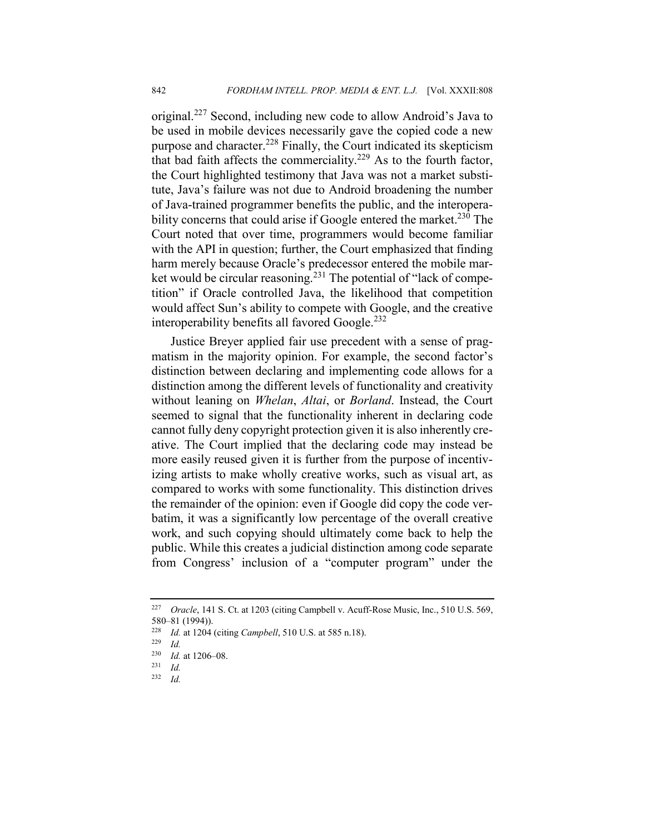original.<sup>227</sup> Second, including new code to allow Android's Java to be used in mobile devices necessarily gave the copied code a new purpose and character.<sup>228</sup> Finally, the Court indicated its skepticism that bad faith affects the commerciality.<sup>229</sup> As to the fourth factor, the Court highlighted testimony that Java was not a market substitute, Java's failure was not due to Android broadening the number of Java-trained programmer benefits the public, and the interoperability concerns that could arise if Google entered the market.<sup>230</sup> The Court noted that over time, programmers would become familiar with the API in question; further, the Court emphasized that finding harm merely because Oracle's predecessor entered the mobile market would be circular reasoning.<sup>231</sup> The potential of "lack of competition" if Oracle controlled Java, the likelihood that competition would affect Sun's ability to compete with Google, and the creative interoperability benefits all favored Google.<sup>232</sup>

Justice Breyer applied fair use precedent with a sense of pragmatism in the majority opinion. For example, the second factor's distinction between declaring and implementing code allows for a distinction among the different levels of functionality and creativity without leaning on *Whelan*, *Altai*, or *Borland*. Instead, the Court seemed to signal that the functionality inherent in declaring code cannot fully deny copyright protection given it is also inherently creative. The Court implied that the declaring code may instead be more easily reused given it is further from the purpose of incentivizing artists to make wholly creative works, such as visual art, as compared to works with some functionality. This distinction drives the remainder of the opinion: even if Google did copy the code verbatim, it was a significantly low percentage of the overall creative work, and such copying should ultimately come back to help the public. While this creates a judicial distinction among code separate from Congress' inclusion of a "computer program" under the

<sup>227</sup> *Oracle*, 141 S. Ct. at 1203 (citing Campbell v. Acuff-Rose Music, Inc., 510 U.S. 569, 580–81 (1994)).<br> $^{228}$  *Id at* 1204

<sup>228</sup> *Id.* at 1204 (citing *Campbell*, 510 U.S. at 585 n.18).

 $\frac{229}{230}$  *Id.* 

 $\frac{230}{231}$  *Id.* at 1206–08.

<sup>231</sup> *Id.*

<sup>232</sup> *Id.*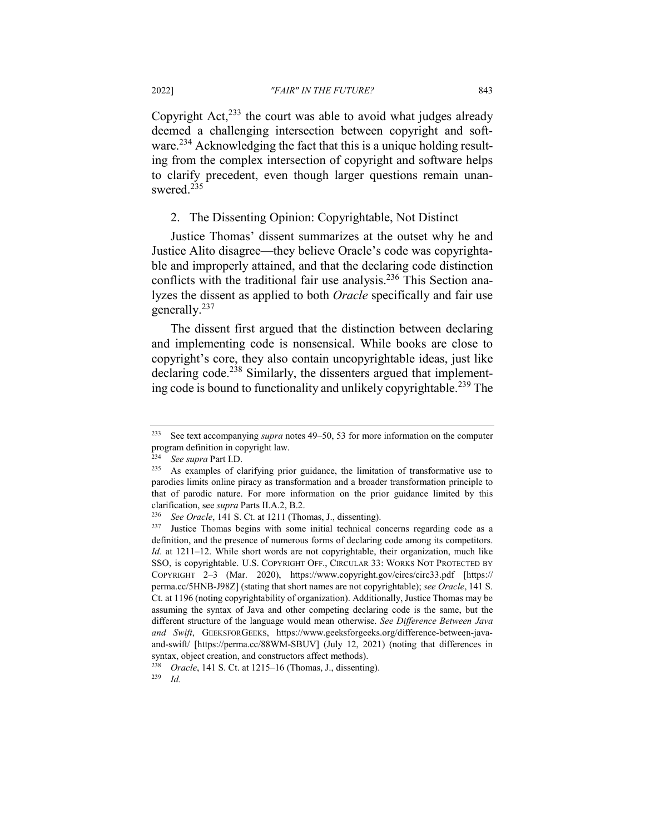Copyright Act, $^{233}$  the court was able to avoid what judges already deemed a challenging intersection between copyright and software.<sup>234</sup> Acknowledging the fact that this is a unique holding resulting from the complex intersection of copyright and software helps to clarify precedent, even though larger questions remain unanswered.<sup>235</sup>

## 2. The Dissenting Opinion: Copyrightable, Not Distinct

Justice Thomas' dissent summarizes at the outset why he and Justice Alito disagree—they believe Oracle's code was copyrightable and improperly attained, and that the declaring code distinction conflicts with the traditional fair use analysis.<sup>236</sup> This Section analyzes the dissent as applied to both *Oracle* specifically and fair use generally.<sup>237</sup>

The dissent first argued that the distinction between declaring and implementing code is nonsensical. While books are close to copyright's core, they also contain uncopyrightable ideas, just like declaring code.<sup>238</sup> Similarly, the dissenters argued that implementing code is bound to functionality and unlikely copyrightable.<sup>239</sup> The

<sup>233</sup> See text accompanying *supra* notes 49–50, 53 for more information on the computer program definition in copyright law.

<sup>234</sup> *See supra* Part I.D.

<sup>235</sup> As examples of clarifying prior guidance, the limitation of transformative use to parodies limits online piracy as transformation and a broader transformation principle to that of parodic nature. For more information on the prior guidance limited by this clarification, see *supra* Parts II.A.2, B.2.

<sup>&</sup>lt;sup>236</sup> *See Oracle*, 141 S. Ct. at 1211 (Thomas, J., dissenting).<br><sup>237</sup> Iustice Thomas begins with some initial technical co

Justice Thomas begins with some initial technical concerns regarding code as a definition, and the presence of numerous forms of declaring code among its competitors. *Id.* at 1211–12. While short words are not copyrightable, their organization, much like SSO, is copyrightable. U.S. COPYRIGHT OFF., CIRCULAR 33: WORKS NOT PROTECTED BY COPYRIGHT 2–3 (Mar. 2020), https://www.copyright.gov/circs/circ33.pdf [https:// perma.cc/5HNB-J98Z] (stating that short names are not copyrightable); *see Oracle*, 141 S. Ct. at 1196 (noting copyrightability of organization). Additionally, Justice Thomas may be assuming the syntax of Java and other competing declaring code is the same, but the different structure of the language would mean otherwise. *See Difference Between Java and Swift*, GEEKSFORGEEKS, https://www.geeksforgeeks.org/difference-between-javaand-swift/ [https://perma.cc/88WM-SBUV] (July 12, 2021) (noting that differences in syntax, object creation, and constructors affect methods).

<sup>238</sup> *Oracle*, 141 S. Ct. at 1215–16 (Thomas, J., dissenting).

<sup>239</sup> *Id.*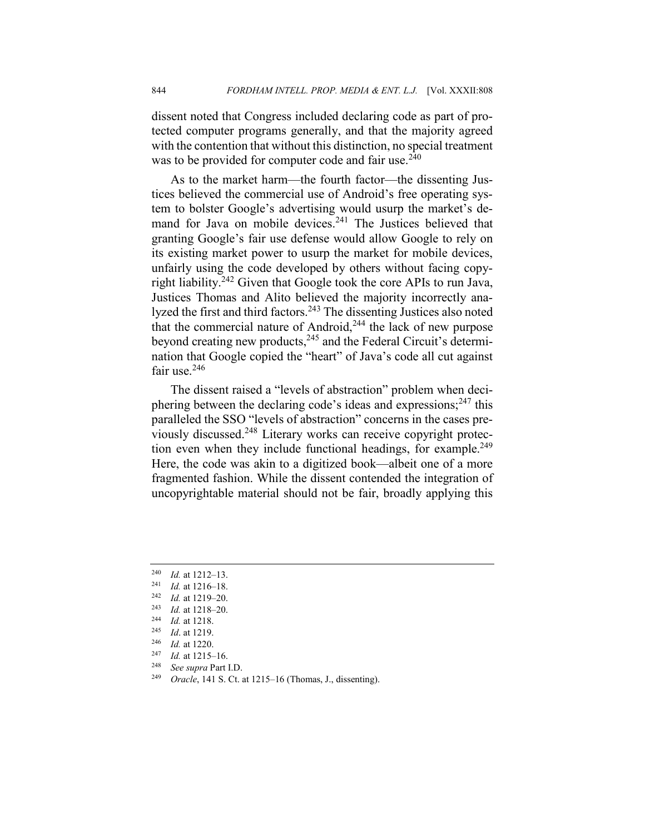dissent noted that Congress included declaring code as part of protected computer programs generally, and that the majority agreed with the contention that without this distinction, no special treatment was to be provided for computer code and fair use.<sup>240</sup>

As to the market harm—the fourth factor—the dissenting Justices believed the commercial use of Android's free operating system to bolster Google's advertising would usurp the market's demand for Java on mobile devices.<sup>241</sup> The Justices believed that granting Google's fair use defense would allow Google to rely on its existing market power to usurp the market for mobile devices, unfairly using the code developed by others without facing copyright liability.<sup>242</sup> Given that Google took the core APIs to run Java, Justices Thomas and Alito believed the majority incorrectly analyzed the first and third factors.<sup>243</sup> The dissenting Justices also noted that the commercial nature of Android, $244$  the lack of new purpose beyond creating new products,<sup>245</sup> and the Federal Circuit's determination that Google copied the "heart" of Java's code all cut against fair use.<sup>246</sup>

The dissent raised a "levels of abstraction" problem when deciphering between the declaring code's ideas and expressions;  $247$  this paralleled the SSO "levels of abstraction" concerns in the cases previously discussed.<sup>248</sup> Literary works can receive copyright protection even when they include functional headings, for example.<sup>249</sup> Here, the code was akin to a digitized book—albeit one of a more fragmented fashion. While the dissent contended the integration of uncopyrightable material should not be fair, broadly applying this

<sup>240</sup> *Id.* at 1212–13.

 $\frac{241}{242}$  *Id.* at 1216–18.

<sup>242</sup> *Id.* at 1219–20.

<sup>243</sup> *Id.* at 1218–20.

 $\frac{244}{245}$  *Id.* at 1218.

<sup>&</sup>lt;sup>245</sup> *Id.* at 1219.<br><sup>246</sup> *Id.* at 1220.

 $\frac{246}{247}$  *Id.* at 1220.

 $\frac{247}{248}$  *Id.* at 1215–16.

See supra Part I.D.

<sup>249</sup> *Oracle*, 141 S. Ct. at 1215–16 (Thomas, J., dissenting).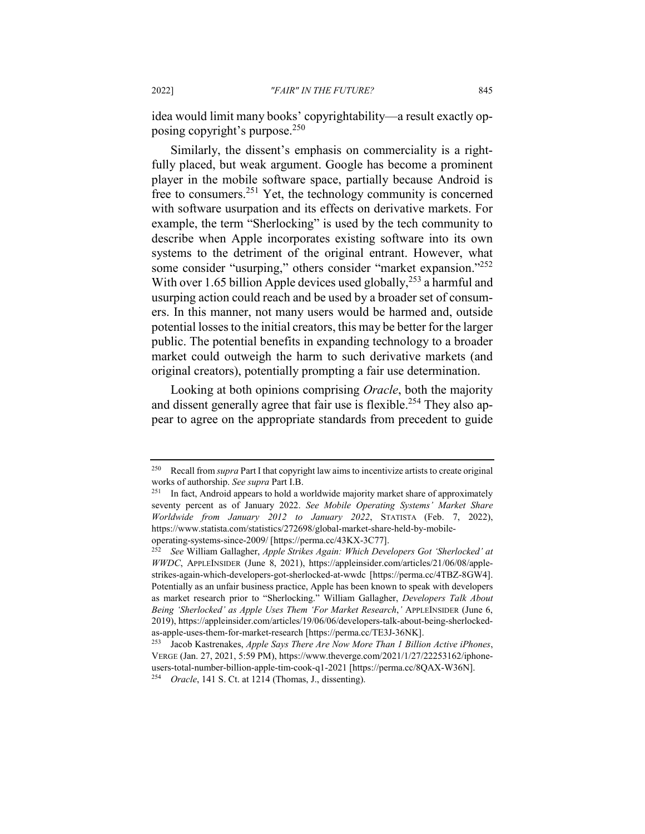idea would limit many books' copyrightability—a result exactly opposing copyright's purpose.<sup>250</sup>

Similarly, the dissent's emphasis on commerciality is a rightfully placed, but weak argument. Google has become a prominent player in the mobile software space, partially because Android is free to consumers.<sup>251</sup> Yet, the technology community is concerned with software usurpation and its effects on derivative markets. For example, the term "Sherlocking" is used by the tech community to describe when Apple incorporates existing software into its own systems to the detriment of the original entrant. However, what some consider "usurping," others consider "market expansion."<sup>252</sup> With over 1.65 billion Apple devices used globally,<sup>253</sup> a harmful and usurping action could reach and be used by a broader set of consumers. In this manner, not many users would be harmed and, outside potential losses to the initial creators, this may be better for the larger public. The potential benefits in expanding technology to a broader market could outweigh the harm to such derivative markets (and original creators), potentially prompting a fair use determination.

Looking at both opinions comprising *Oracle*, both the majority and dissent generally agree that fair use is flexible.<sup>254</sup> They also appear to agree on the appropriate standards from precedent to guide

<sup>250</sup> Recall from *supra* Part I that copyright law aims to incentivize artists to create original works of authorship. *See supra* Part I.B.

In fact, Android appears to hold a worldwide majority market share of approximately seventy percent as of January 2022. *See Mobile Operating Systems' Market Share Worldwide from January 2012 to January 2022*, STATISTA (Feb. 7, 2022), https://www.statista.com/statistics/272698/global-market-share-held-by-mobileoperating-systems-since-2009/ [https://perma.cc/43KX-3C77].

<sup>252</sup> *See* William Gallagher, *Apple Strikes Again: Which Developers Got 'Sherlocked' at WWDC*, APPLEINSIDER (June 8, 2021), https://appleinsider.com/articles/21/06/08/applestrikes-again-which-developers-got-sherlocked-at-wwdc [https://perma.cc/4TBZ-8GW4]. Potentially as an unfair business practice, Apple has been known to speak with developers as market research prior to "Sherlocking." William Gallagher, *Developers Talk About Being 'Sherlocked' as Apple Uses Them 'For Market Research*,*'* APPLEINSIDER (June 6, 2019), https://appleinsider.com/articles/19/06/06/developers-talk-about-being-sherlockedas-apple-uses-them-for-market-research [https://perma.cc/TE3J-36NK].

<sup>253</sup> Jacob Kastrenakes, *Apple Says There Are Now More Than 1 Billion Active iPhones*, VERGE (Jan. 27, 2021, 5:59 PM), https://www.theverge.com/2021/1/27/22253162/iphoneusers-total-number-billion-apple-tim-cook-q1-2021 [https://perma.cc/8QAX-W36N]. <sup>254</sup> *Oracle*, 141 S. Ct. at 1214 (Thomas, J., dissenting).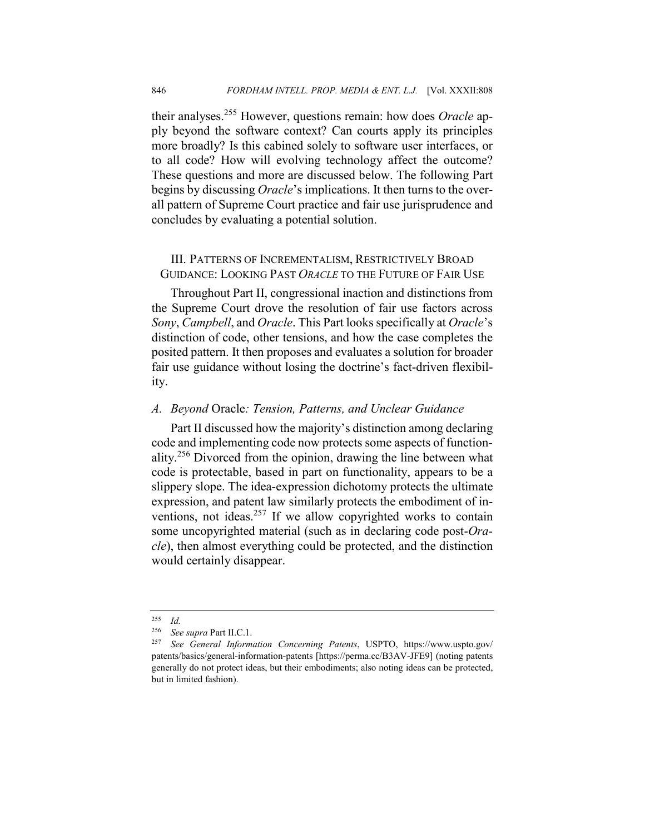their analyses.<sup>255</sup> However, questions remain: how does *Oracle* apply beyond the software context? Can courts apply its principles more broadly? Is this cabined solely to software user interfaces, or to all code? How will evolving technology affect the outcome? These questions and more are discussed below. The following Part begins by discussing *Oracle*'s implications. It then turns to the overall pattern of Supreme Court practice and fair use jurisprudence and concludes by evaluating a potential solution.

## III. PATTERNS OF INCREMENTALISM, RESTRICTIVELY BROAD GUIDANCE: LOOKING PAST *ORACLE* TO THE FUTURE OF FAIR USE

Throughout Part II, congressional inaction and distinctions from the Supreme Court drove the resolution of fair use factors across *Sony*, *Campbell*, and *Oracle*. This Part looks specifically at *Oracle*'s distinction of code, other tensions, and how the case completes the posited pattern. It then proposes and evaluates a solution for broader fair use guidance without losing the doctrine's fact-driven flexibility.

#### *A. Beyond* Oracle*: Tension, Patterns, and Unclear Guidance*

Part II discussed how the majority's distinction among declaring code and implementing code now protects some aspects of functionality.<sup>256</sup> Divorced from the opinion, drawing the line between what code is protectable, based in part on functionality, appears to be a slippery slope. The idea-expression dichotomy protects the ultimate expression, and patent law similarly protects the embodiment of inventions, not ideas. $257$  If we allow copyrighted works to contain some uncopyrighted material (such as in declaring code post-*Oracle*), then almost everything could be protected, and the distinction would certainly disappear.

<sup>255</sup> *Id.*

<sup>256</sup> *See supra* Part II.C.1.

<sup>257</sup> *See General Information Concerning Patents*, USPTO, https://www.uspto.gov/ patents/basics/general-information-patents [https://perma.cc/B3AV-JFE9] (noting patents generally do not protect ideas, but their embodiments; also noting ideas can be protected, but in limited fashion).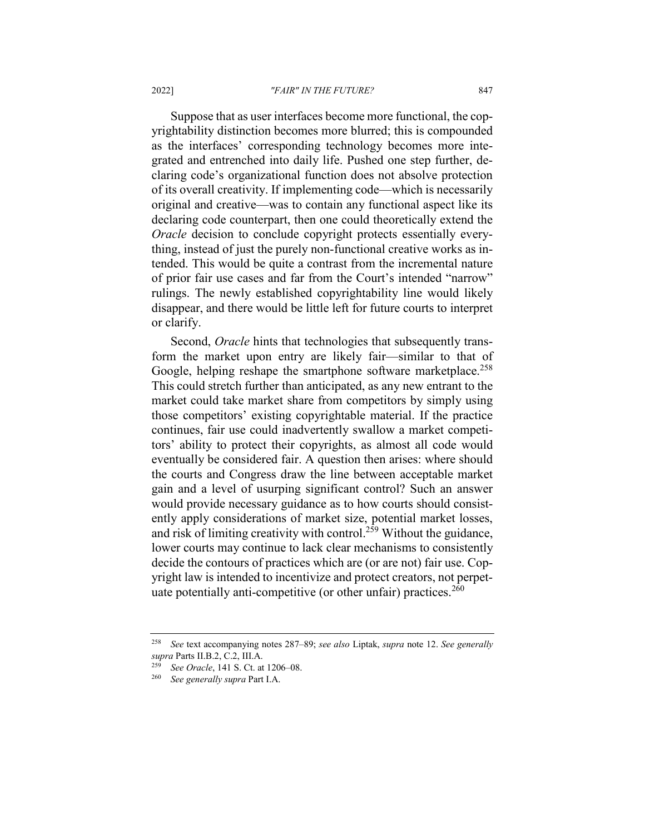#### 2022] *"FAIR" IN THE FUTURE?* 847

Suppose that as user interfaces become more functional, the copyrightability distinction becomes more blurred; this is compounded as the interfaces' corresponding technology becomes more integrated and entrenched into daily life. Pushed one step further, declaring code's organizational function does not absolve protection of its overall creativity. If implementing code—which is necessarily original and creative—was to contain any functional aspect like its declaring code counterpart, then one could theoretically extend the *Oracle* decision to conclude copyright protects essentially everything, instead of just the purely non-functional creative works as intended. This would be quite a contrast from the incremental nature of prior fair use cases and far from the Court's intended "narrow" rulings. The newly established copyrightability line would likely disappear, and there would be little left for future courts to interpret or clarify.

Second, *Oracle* hints that technologies that subsequently transform the market upon entry are likely fair—similar to that of Google, helping reshape the smartphone software marketplace.<sup>258</sup> This could stretch further than anticipated, as any new entrant to the market could take market share from competitors by simply using those competitors' existing copyrightable material. If the practice continues, fair use could inadvertently swallow a market competitors' ability to protect their copyrights, as almost all code would eventually be considered fair. A question then arises: where should the courts and Congress draw the line between acceptable market gain and a level of usurping significant control? Such an answer would provide necessary guidance as to how courts should consistently apply considerations of market size, potential market losses, and risk of limiting creativity with control.259 Without the guidance, lower courts may continue to lack clear mechanisms to consistently decide the contours of practices which are (or are not) fair use. Copyright law is intended to incentivize and protect creators, not perpetuate potentially anti-competitive (or other unfair) practices.<sup>260</sup>

<sup>258</sup> *See* text accompanying notes 287–89; *see also* Liptak, *supra* note 12. *See generally supra* Parts II.B.2, C.2, III.A.

<sup>259</sup> *See Oracle*, 141 S. Ct. at 1206–08.

<sup>260</sup> *See generally supra* Part I.A.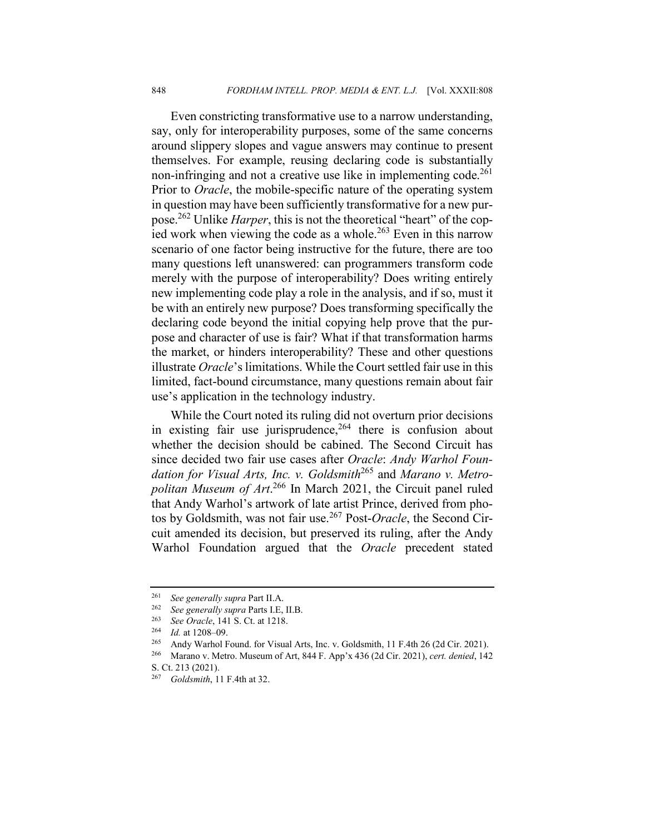Even constricting transformative use to a narrow understanding, say, only for interoperability purposes, some of the same concerns around slippery slopes and vague answers may continue to present themselves. For example, reusing declaring code is substantially non-infringing and not a creative use like in implementing code.<sup>261</sup> Prior to *Oracle*, the mobile-specific nature of the operating system in question may have been sufficiently transformative for a new purpose.262 Unlike *Harper*, this is not the theoretical "heart" of the copied work when viewing the code as a whole.<sup>263</sup> Even in this narrow scenario of one factor being instructive for the future, there are too many questions left unanswered: can programmers transform code merely with the purpose of interoperability? Does writing entirely new implementing code play a role in the analysis, and if so, must it be with an entirely new purpose? Does transforming specifically the declaring code beyond the initial copying help prove that the purpose and character of use is fair? What if that transformation harms the market, or hinders interoperability? These and other questions illustrate *Oracle*'s limitations. While the Court settled fair use in this limited, fact-bound circumstance, many questions remain about fair use's application in the technology industry.

While the Court noted its ruling did not overturn prior decisions in existing fair use jurisprudence,  $264$  there is confusion about whether the decision should be cabined. The Second Circuit has since decided two fair use cases after *Oracle*: *Andy Warhol Foundation for Visual Arts, Inc. v. Goldsmith*<sup>265</sup> and *Marano v. Metropolitan Museum of Art*. <sup>266</sup> In March 2021, the Circuit panel ruled that Andy Warhol's artwork of late artist Prince, derived from photos by Goldsmith, was not fair use.<sup>267</sup> Post-*Oracle*, the Second Circuit amended its decision, but preserved its ruling, after the Andy Warhol Foundation argued that the *Oracle* precedent stated

<sup>261</sup> *See generally supra* Part II.A.

<sup>262</sup> *See generally supra* Parts I.E, II.B.

<sup>&</sup>lt;sup>263</sup> *See Oracle*, 141 S. Ct. at 1218.<br><sup>264</sup> *Id.* at 1208, 09

 $\frac{264}{265}$  *Id.* at 1208–09.

<sup>265</sup> Andy Warhol Found. for Visual Arts, Inc. v. Goldsmith, 11 F.4th 26 (2d Cir. 2021).

<sup>266</sup> Marano v. Metro. Museum of Art, 844 F. App'x 436 (2d Cir. 2021), *cert. denied*, 142 S. Ct. 213 (2021).

<sup>267</sup> *Goldsmith*, 11 F.4th at 32.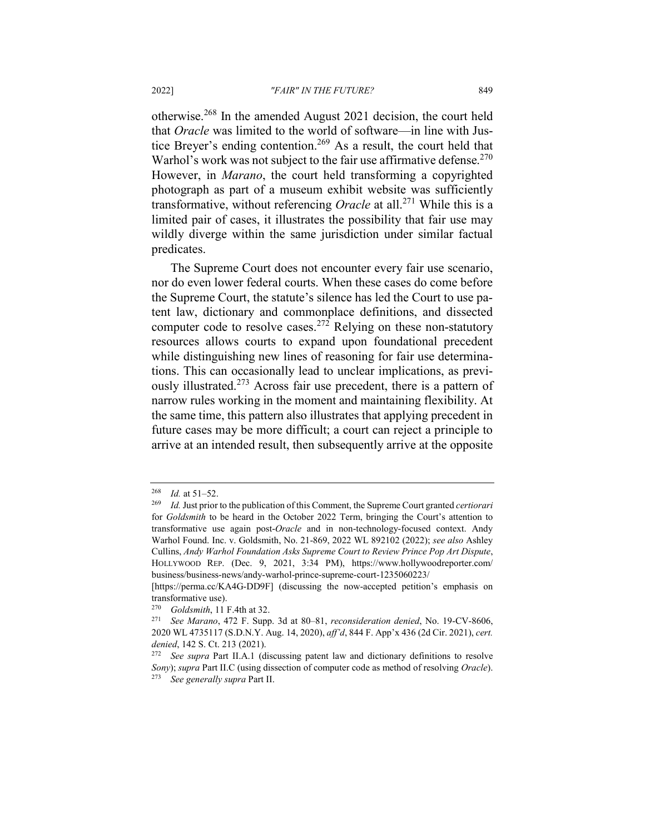otherwise.<sup>268</sup> In the amended August 2021 decision, the court held that *Oracle* was limited to the world of software—in line with Justice Breyer's ending contention.<sup>269</sup> As a result, the court held that Warhol's work was not subject to the fair use affirmative defense.  $270$ However, in *Marano*, the court held transforming a copyrighted photograph as part of a museum exhibit website was sufficiently transformative, without referencing *Oracle* at all. <sup>271</sup> While this is a limited pair of cases, it illustrates the possibility that fair use may wildly diverge within the same jurisdiction under similar factual predicates.

The Supreme Court does not encounter every fair use scenario, nor do even lower federal courts. When these cases do come before the Supreme Court, the statute's silence has led the Court to use patent law, dictionary and commonplace definitions, and dissected computer code to resolve cases.<sup>272</sup> Relying on these non-statutory resources allows courts to expand upon foundational precedent while distinguishing new lines of reasoning for fair use determinations. This can occasionally lead to unclear implications, as previously illustrated.<sup>273</sup> Across fair use precedent, there is a pattern of narrow rules working in the moment and maintaining flexibility. At the same time, this pattern also illustrates that applying precedent in future cases may be more difficult; a court can reject a principle to arrive at an intended result, then subsequently arrive at the opposite

 $\frac{268}{269}$  *Id.* at 51–52.

<sup>269</sup> *Id.* Just prior to the publication of this Comment, the Supreme Court granted *certiorari* for *Goldsmith* to be heard in the October 2022 Term, bringing the Court's attention to transformative use again post-*Oracle* and in non-technology-focused context. Andy Warhol Found. Inc. v. Goldsmith, No. 21-869, 2022 WL 892102 (2022); *see also* Ashley Cullins, *Andy Warhol Foundation Asks Supreme Court to Review Prince Pop Art Dispute*, HOLLYWOOD REP. (Dec. 9, 2021, 3:34 PM), https://www.hollywoodreporter.com/ business/business-news/andy-warhol-prince-supreme-court-1235060223/

<sup>[</sup>https://perma.cc/KA4G-DD9F] (discussing the now-accepted petition's emphasis on transformative use).

<sup>270</sup> *Goldsmith*, 11 F.4th at 32.

<sup>271</sup> *See Marano*, 472 F. Supp. 3d at 80–81, *reconsideration denied*, No. 19-CV-8606, 2020 WL 4735117 (S.D.N.Y. Aug. 14, 2020), *aff'd*, 844 F. App'x 436 (2d Cir. 2021), *cert. denied*, 142 S. Ct. 213 (2021).

<sup>272</sup> *See supra* Part II.A.1 (discussing patent law and dictionary definitions to resolve *Sony*); *supra* Part II.C (using dissection of computer code as method of resolving *Oracle*). <sup>273</sup> *See generally supra* Part II.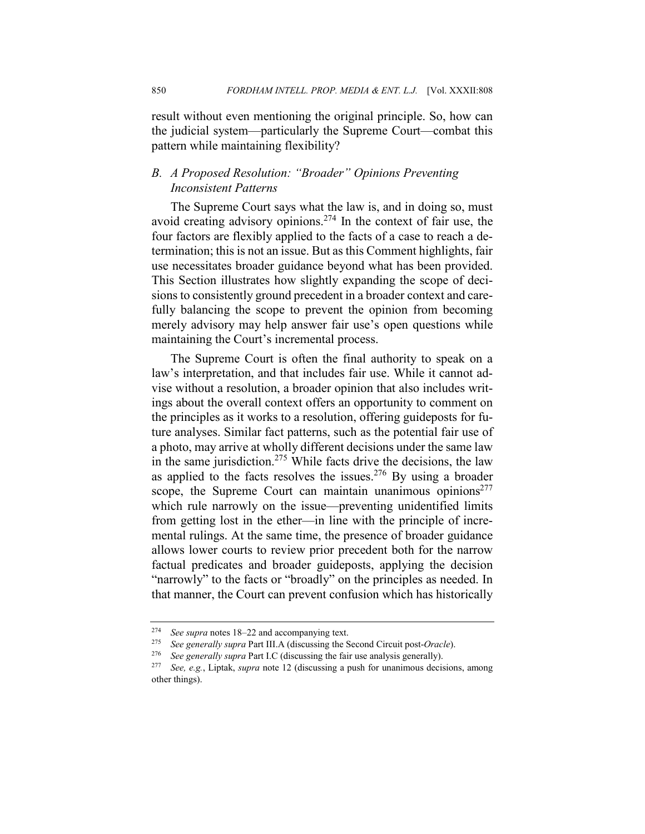result without even mentioning the original principle. So, how can the judicial system—particularly the Supreme Court—combat this pattern while maintaining flexibility?

## *B. A Proposed Resolution: "Broader" Opinions Preventing Inconsistent Patterns*

The Supreme Court says what the law is, and in doing so, must avoid creating advisory opinions.274 In the context of fair use, the four factors are flexibly applied to the facts of a case to reach a determination; this is not an issue. But as this Comment highlights, fair use necessitates broader guidance beyond what has been provided. This Section illustrates how slightly expanding the scope of decisions to consistently ground precedent in a broader context and carefully balancing the scope to prevent the opinion from becoming merely advisory may help answer fair use's open questions while maintaining the Court's incremental process.

The Supreme Court is often the final authority to speak on a law's interpretation, and that includes fair use. While it cannot advise without a resolution, a broader opinion that also includes writings about the overall context offers an opportunity to comment on the principles as it works to a resolution, offering guideposts for future analyses. Similar fact patterns, such as the potential fair use of a photo, may arrive at wholly different decisions under the same law in the same jurisdiction.<sup>275</sup> While facts drive the decisions, the law as applied to the facts resolves the issues.<sup>276</sup> By using a broader scope, the Supreme Court can maintain unanimous opinions<sup>277</sup> which rule narrowly on the issue—preventing unidentified limits from getting lost in the ether—in line with the principle of incremental rulings. At the same time, the presence of broader guidance allows lower courts to review prior precedent both for the narrow factual predicates and broader guideposts, applying the decision "narrowly" to the facts or "broadly" on the principles as needed. In that manner, the Court can prevent confusion which has historically

<sup>274</sup> *See supra* notes 18–22 and accompanying text.

<sup>275</sup> *See generally supra* Part III.A (discussing the Second Circuit post-*Oracle*).

<sup>&</sup>lt;sup>276</sup> *See generally supra* Part I.C (discussing the fair use analysis generally).<sup>277</sup> *See e g* Lintak, *supra* note 12 (discussing a push for unanimous decise

See, e.g., Liptak, *supra* note 12 (discussing a push for unanimous decisions, among other things).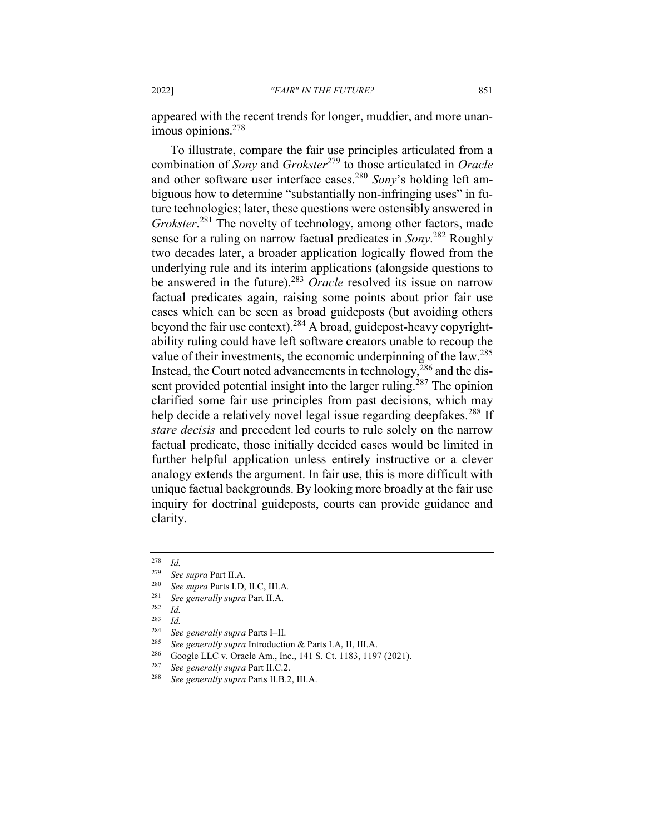appeared with the recent trends for longer, muddier, and more unanimous opinions.278

To illustrate, compare the fair use principles articulated from a combination of *Sony* and *Grokster*<sup>279</sup> to those articulated in *Oracle*  and other software user interface cases.280 *Sony*'s holding left ambiguous how to determine "substantially non-infringing uses" in future technologies; later, these questions were ostensibly answered in *Grokster*. <sup>281</sup> The novelty of technology, among other factors, made sense for a ruling on narrow factual predicates in *Sony*. <sup>282</sup> Roughly two decades later, a broader application logically flowed from the underlying rule and its interim applications (alongside questions to be answered in the future).<sup>283</sup> *Oracle* resolved its issue on narrow factual predicates again, raising some points about prior fair use cases which can be seen as broad guideposts (but avoiding others beyond the fair use context).<sup>284</sup> A broad, guidepost-heavy copyrightability ruling could have left software creators unable to recoup the value of their investments, the economic underpinning of the law.285 Instead, the Court noted advancements in technology,  $286$  and the dissent provided potential insight into the larger ruling.<sup>287</sup> The opinion clarified some fair use principles from past decisions, which may help decide a relatively novel legal issue regarding deepfakes.<sup>288</sup> If *stare decisis* and precedent led courts to rule solely on the narrow factual predicate, those initially decided cases would be limited in further helpful application unless entirely instructive or a clever analogy extends the argument. In fair use, this is more difficult with unique factual backgrounds. By looking more broadly at the fair use inquiry for doctrinal guideposts, courts can provide guidance and clarity.

 $\frac{278}{279}$  *Id.* 

See supra Part II.A.

<sup>280</sup> *See supra* Parts I.D, II.C, III.A*.*

<sup>281</sup> *See generally supra* Part II.A.

<sup>282</sup> *Id.*

 $\frac{283}{284}$  *Id.* 

<sup>284</sup> *See generally supra* Parts I–II.

<sup>285</sup> *See generally supra* Introduction & Parts I.A, II, III.A.

<sup>&</sup>lt;sup>286</sup> Google LLC v. Oracle Am., Inc., 141 S. Ct. 1183, 1197 (2021).<br><sup>287</sup> See gangually sunna Port II C. 2

<sup>287</sup> *See generally supra* Part II.C.2.

<sup>288</sup> *See generally supra* Parts II.B.2, III.A.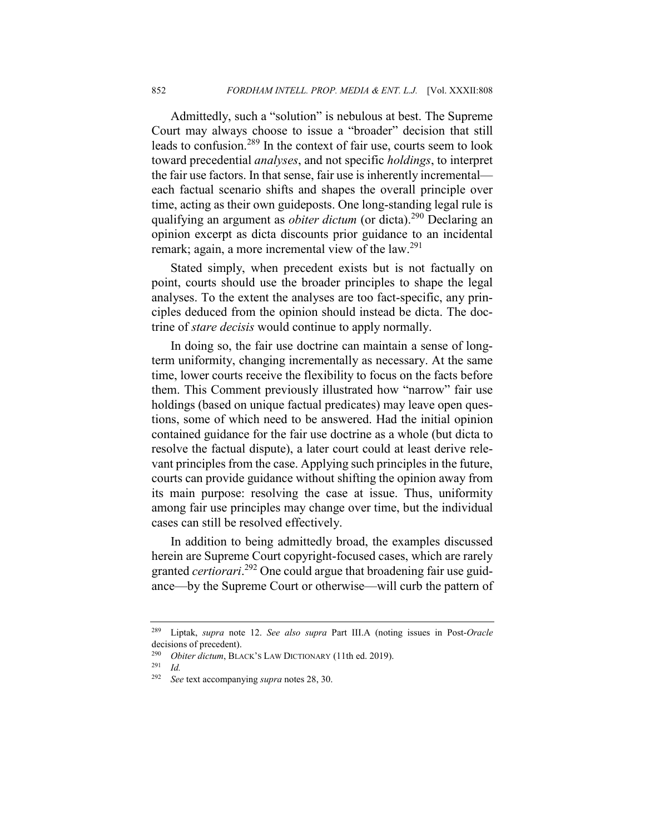Admittedly, such a "solution" is nebulous at best. The Supreme Court may always choose to issue a "broader" decision that still leads to confusion.<sup>289</sup> In the context of fair use, courts seem to look toward precedential *analyses*, and not specific *holdings*, to interpret the fair use factors. In that sense, fair use is inherently incremental each factual scenario shifts and shapes the overall principle over time, acting as their own guideposts. One long-standing legal rule is qualifying an argument as *obiter dictum* (or dicta).290 Declaring an opinion excerpt as dicta discounts prior guidance to an incidental remark; again, a more incremental view of the law.<sup>291</sup>

Stated simply, when precedent exists but is not factually on point, courts should use the broader principles to shape the legal analyses. To the extent the analyses are too fact-specific, any principles deduced from the opinion should instead be dicta. The doctrine of *stare decisis* would continue to apply normally.

In doing so, the fair use doctrine can maintain a sense of longterm uniformity, changing incrementally as necessary. At the same time, lower courts receive the flexibility to focus on the facts before them. This Comment previously illustrated how "narrow" fair use holdings (based on unique factual predicates) may leave open questions, some of which need to be answered. Had the initial opinion contained guidance for the fair use doctrine as a whole (but dicta to resolve the factual dispute), a later court could at least derive relevant principles from the case. Applying such principles in the future, courts can provide guidance without shifting the opinion away from its main purpose: resolving the case at issue. Thus, uniformity among fair use principles may change over time, but the individual cases can still be resolved effectively.

In addition to being admittedly broad, the examples discussed herein are Supreme Court copyright-focused cases, which are rarely granted *certiorari*. <sup>292</sup> One could argue that broadening fair use guidance—by the Supreme Court or otherwise—will curb the pattern of

<sup>289</sup> Liptak, *supra* note 12. *See also supra* Part III.A (noting issues in Post-*Oracle* decisions of precedent).

<sup>&</sup>lt;sup>290</sup> *Obiter dictum*, BLACK's LAW DICTIONARY (11th ed. 2019).

<sup>291</sup> *Id.*

<sup>292</sup> *See* text accompanying *supra* notes 28, 30.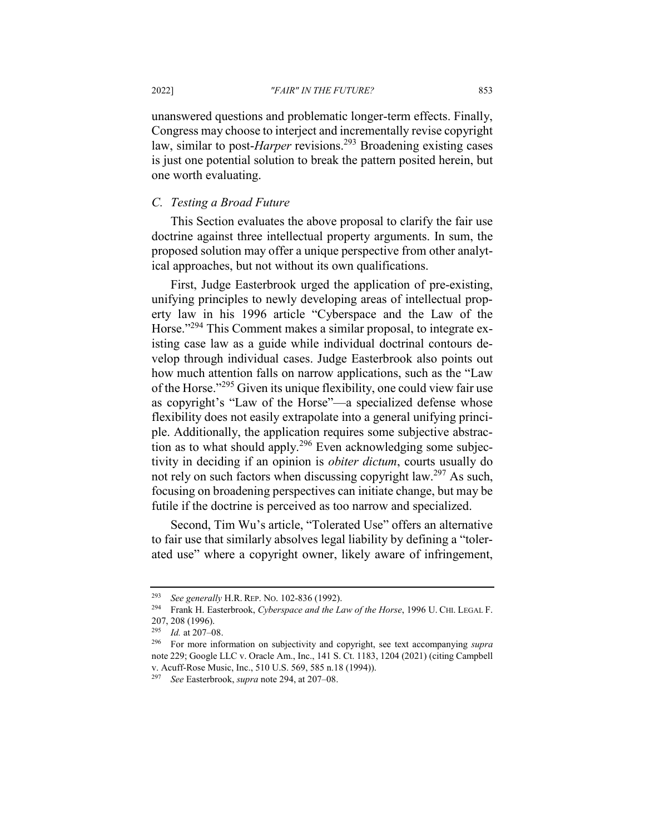unanswered questions and problematic longer-term effects. Finally, Congress may choose to interject and incrementally revise copyright law, similar to post-*Harper* revisions.<sup>293</sup> Broadening existing cases is just one potential solution to break the pattern posited herein, but one worth evaluating.

### *C. Testing a Broad Future*

This Section evaluates the above proposal to clarify the fair use doctrine against three intellectual property arguments. In sum, the proposed solution may offer a unique perspective from other analytical approaches, but not without its own qualifications.

First, Judge Easterbrook urged the application of pre-existing, unifying principles to newly developing areas of intellectual property law in his 1996 article "Cyberspace and the Law of the Horse."<sup>294</sup> This Comment makes a similar proposal, to integrate existing case law as a guide while individual doctrinal contours develop through individual cases. Judge Easterbrook also points out how much attention falls on narrow applications, such as the "Law of the Horse."<sup>295</sup> Given its unique flexibility, one could view fair use as copyright's "Law of the Horse"—a specialized defense whose flexibility does not easily extrapolate into a general unifying principle. Additionally, the application requires some subjective abstraction as to what should apply.<sup>296</sup> Even acknowledging some subjectivity in deciding if an opinion is *obiter dictum*, courts usually do not rely on such factors when discussing copyright law.<sup>297</sup> As such, focusing on broadening perspectives can initiate change, but may be futile if the doctrine is perceived as too narrow and specialized.

Second, Tim Wu's article, "Tolerated Use" offers an alternative to fair use that similarly absolves legal liability by defining a "tolerated use" where a copyright owner, likely aware of infringement,

<sup>293</sup> *See generally* H.R. REP. NO. 102-836 (1992).

<sup>294</sup> Frank H. Easterbrook, *Cyberspace and the Law of the Horse*, 1996 U. CHI. LEGAL F.  $207, 208$  (1996).<br> $\frac{295}{66}$  *Id.* at 207. 0

*Id.* at 207-08.

<sup>296</sup> For more information on subjectivity and copyright, see text accompanying *supra*  note 229; Google LLC v. Oracle Am., Inc., 141 S. Ct. 1183, 1204 (2021) (citing Campbell v. Acuff-Rose Music, Inc., 510 U.S. 569, 585 n.18 (1994)).

<sup>297</sup> *See* Easterbrook, *supra* note 294, at 207–08.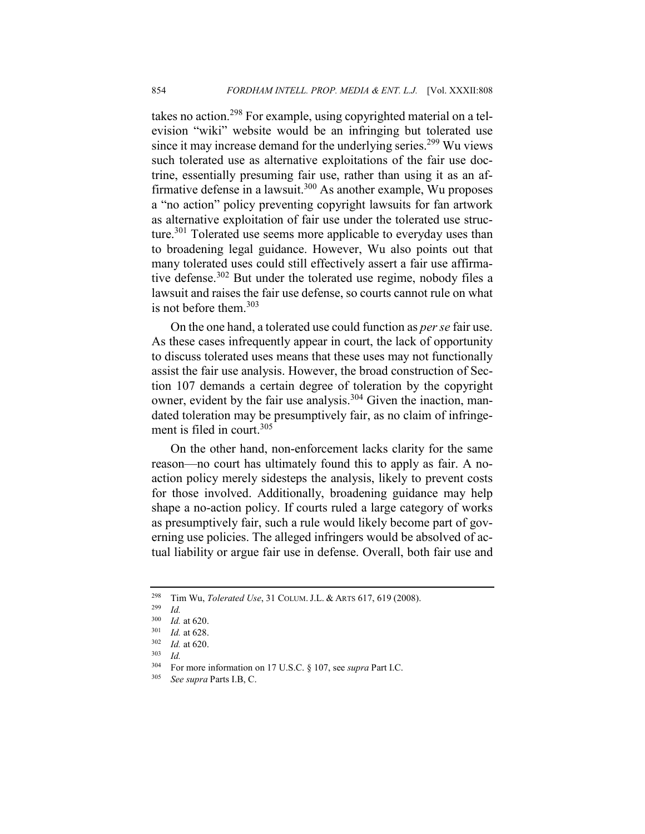takes no action.<sup>298</sup> For example, using copyrighted material on a television "wiki" website would be an infringing but tolerated use since it may increase demand for the underlying series.<sup>299</sup> Wu views such tolerated use as alternative exploitations of the fair use doctrine, essentially presuming fair use, rather than using it as an affirmative defense in a lawsuit.<sup>300</sup> As another example, Wu proposes a "no action" policy preventing copyright lawsuits for fan artwork as alternative exploitation of fair use under the tolerated use structure.<sup>301</sup> Tolerated use seems more applicable to everyday uses than to broadening legal guidance. However, Wu also points out that many tolerated uses could still effectively assert a fair use affirmative defense.<sup>302</sup> But under the tolerated use regime, nobody files a lawsuit and raises the fair use defense, so courts cannot rule on what is not before them. $303$ 

On the one hand, a tolerated use could function as *per se* fair use. As these cases infrequently appear in court, the lack of opportunity to discuss tolerated uses means that these uses may not functionally assist the fair use analysis. However, the broad construction of Section 107 demands a certain degree of toleration by the copyright owner, evident by the fair use analysis.<sup>304</sup> Given the inaction, mandated toleration may be presumptively fair, as no claim of infringement is filed in court.<sup>305</sup>

On the other hand, non-enforcement lacks clarity for the same reason—no court has ultimately found this to apply as fair. A noaction policy merely sidesteps the analysis, likely to prevent costs for those involved. Additionally, broadening guidance may help shape a no-action policy. If courts ruled a large category of works as presumptively fair, such a rule would likely become part of governing use policies. The alleged infringers would be absolved of actual liability or argue fair use in defense. Overall, both fair use and

<sup>298</sup> Tim Wu, *Tolerated Use*, 31 COLUM. J.L. & ARTS 617, 619 (2008).

<sup>299</sup> *Id.*

 $\frac{300}{301}$  *Id.* at 620.

 $\frac{301}{302}$  *Id.* at 628.

*Id.* at 620.

 $\frac{303}{304}$  *Id.* 

<sup>304</sup> For more information on 17 U.S.C. § 107, see *supra* Part I.C.

<sup>305</sup> *See supra* Parts I.B, C.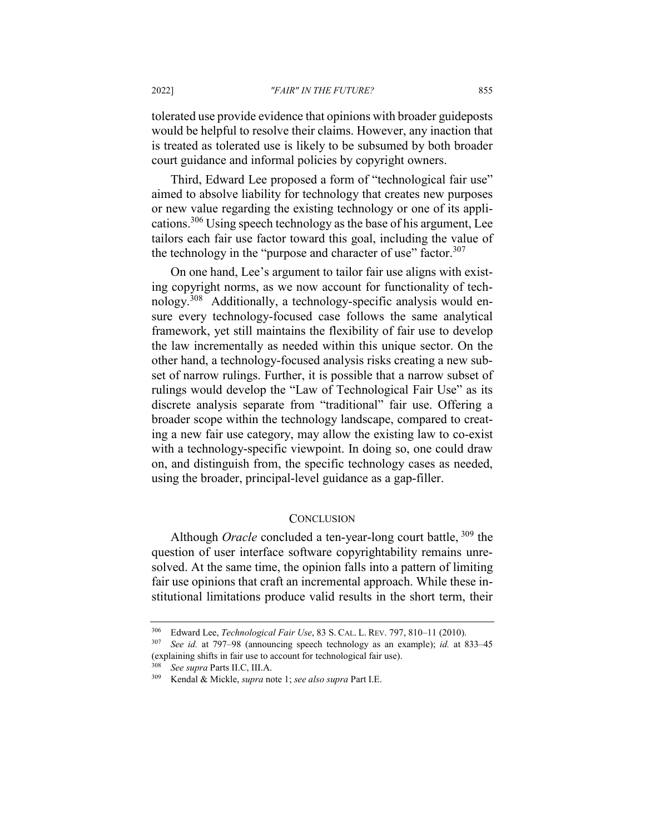#### 2022] *"FAIR" IN THE FUTURE?* 855

tolerated use provide evidence that opinions with broader guideposts would be helpful to resolve their claims. However, any inaction that is treated as tolerated use is likely to be subsumed by both broader court guidance and informal policies by copyright owners.

Third, Edward Lee proposed a form of "technological fair use" aimed to absolve liability for technology that creates new purposes or new value regarding the existing technology or one of its applications.<sup>306</sup> Using speech technology as the base of his argument, Lee tailors each fair use factor toward this goal, including the value of the technology in the "purpose and character of use" factor.<sup>307</sup>

On one hand, Lee's argument to tailor fair use aligns with existing copyright norms, as we now account for functionality of technology.308 Additionally, a technology-specific analysis would ensure every technology-focused case follows the same analytical framework, yet still maintains the flexibility of fair use to develop the law incrementally as needed within this unique sector. On the other hand, a technology-focused analysis risks creating a new subset of narrow rulings. Further, it is possible that a narrow subset of rulings would develop the "Law of Technological Fair Use" as its discrete analysis separate from "traditional" fair use. Offering a broader scope within the technology landscape, compared to creating a new fair use category, may allow the existing law to co-exist with a technology-specific viewpoint. In doing so, one could draw on, and distinguish from, the specific technology cases as needed, using the broader, principal-level guidance as a gap-filler.

#### **CONCLUSION**

Although *Oracle* concluded a ten-year-long court battle, 309 the question of user interface software copyrightability remains unresolved. At the same time, the opinion falls into a pattern of limiting fair use opinions that craft an incremental approach. While these institutional limitations produce valid results in the short term, their

<sup>306</sup> Edward Lee, *Technological Fair Use*, 83 S. CAL. L. REV. 797, 810–11 (2010).

<sup>307</sup> *See id.* at 797–98 (announcing speech technology as an example); *id.* at 833–45 (explaining shifts in fair use to account for technological fair use).

<sup>308</sup> *See supra* Parts II.C, III.A.

<sup>309</sup> Kendal & Mickle, *supra* note 1; *see also supra* Part I.E.